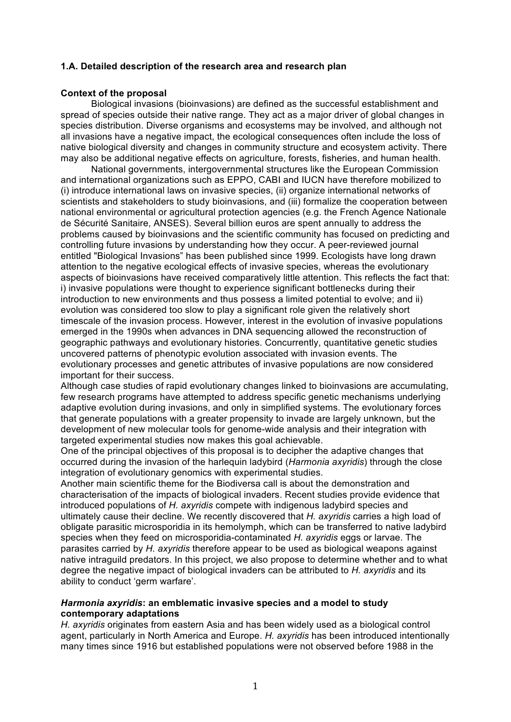### **1.A. Detailed description of the research area and research plan**

#### **Context of the proposal**

Biological invasions (bioinvasions) are defined as the successful establishment and spread of species outside their native range. They act as a major driver of global changes in species distribution. Diverse organisms and ecosystems may be involved, and although not all invasions have a negative impact, the ecological consequences often include the loss of native biological diversity and changes in community structure and ecosystem activity. There may also be additional negative effects on agriculture, forests, fisheries, and human health.

National governments, intergovernmental structures like the European Commission and international organizations such as EPPO, CABI and IUCN have therefore mobilized to (i) introduce international laws on invasive species, (ii) organize international networks of scientists and stakeholders to study bioinvasions, and (iii) formalize the cooperation between national environmental or agricultural protection agencies (e.g. the French Agence Nationale de Sécurité Sanitaire, ANSES). Several billion euros are spent annually to address the problems caused by bioinvasions and the scientific community has focused on predicting and controlling future invasions by understanding how they occur. A peer-reviewed journal entitled "Biological Invasions" has been published since 1999. Ecologists have long drawn attention to the negative ecological effects of invasive species, whereas the evolutionary aspects of bioinvasions have received comparatively little attention. This reflects the fact that: i) invasive populations were thought to experience significant bottlenecks during their introduction to new environments and thus possess a limited potential to evolve; and ii) evolution was considered too slow to play a significant role given the relatively short timescale of the invasion process. However, interest in the evolution of invasive populations emerged in the 1990s when advances in DNA sequencing allowed the reconstruction of geographic pathways and evolutionary histories. Concurrently, quantitative genetic studies uncovered patterns of phenotypic evolution associated with invasion events. The evolutionary processes and genetic attributes of invasive populations are now considered important for their success.

Although case studies of rapid evolutionary changes linked to bioinvasions are accumulating, few research programs have attempted to address specific genetic mechanisms underlying adaptive evolution during invasions, and only in simplified systems. The evolutionary forces that generate populations with a greater propensity to invade are largely unknown, but the development of new molecular tools for genome-wide analysis and their integration with targeted experimental studies now makes this goal achievable.

One of the principal objectives of this proposal is to decipher the adaptive changes that occurred during the invasion of the harlequin ladybird (*Harmonia axyridis*) through the close integration of evolutionary genomics with experimental studies.

Another main scientific theme for the Biodiversa call is about the demonstration and characterisation of the impacts of biological invaders. Recent studies provide evidence that introduced populations of *H. axyridis* compete with indigenous ladybird species and ultimately cause their decline. We recently discovered that *H. axyridis* carries a high load of obligate parasitic microsporidia in its hemolymph, which can be transferred to native ladybird species when they feed on microsporidia-contaminated *H. axyridis* eggs or larvae. The parasites carried by *H. axyridis* therefore appear to be used as biological weapons against native intraguild predators. In this project, we also propose to determine whether and to what degree the negative impact of biological invaders can be attributed to *H. axyridis* and its ability to conduct 'germ warfare'.

#### *Harmonia axyridis***: an emblematic invasive species and a model to study contemporary adaptations**

*H. axyridis* originates from eastern Asia and has been widely used as a biological control agent, particularly in North America and Europe. *H. axyridis* has been introduced intentionally many times since 1916 but established populations were not observed before 1988 in the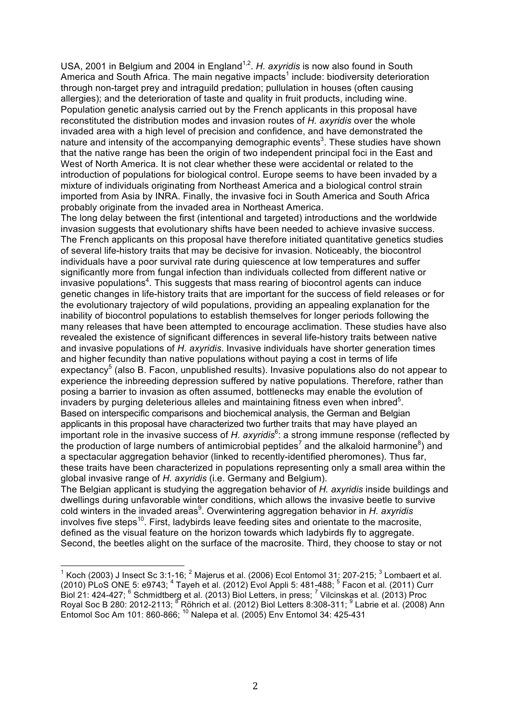USA, 2001 in Belgium and 2004 in England<sup>1,2</sup>. H. axyridis is now also found in South America and South Africa. The main negative impacts<sup>1</sup> include: biodiversity deterioration through non-target prey and intraguild predation; pullulation in houses (often causing allergies); and the deterioration of taste and quality in fruit products, including wine. Population genetic analysis carried out by the French applicants in this proposal have reconstituted the distribution modes and invasion routes of *H. axyridis* over the whole invaded area with a high level of precision and confidence, and have demonstrated the nature and intensity of the accompanying demographic events<sup>3</sup>. These studies have shown that the native range has been the origin of two independent principal foci in the East and West of North America. It is not clear whether these were accidental or related to the introduction of populations for biological control. Europe seems to have been invaded by a mixture of individuals originating from Northeast America and a biological control strain imported from Asia by INRA. Finally, the invasive foci in South America and South Africa probably originate from the invaded area in Northeast America.

The long delay between the first (intentional and targeted) introductions and the worldwide invasion suggests that evolutionary shifts have been needed to achieve invasive success. The French applicants on this proposal have therefore initiated quantitative genetics studies of several life-history traits that may be decisive for invasion. Noticeably, the biocontrol individuals have a poor survival rate during quiescence at low temperatures and suffer significantly more from fungal infection than individuals collected from different native or invasive populations<sup>4</sup>. This suggests that mass rearing of biocontrol agents can induce genetic changes in life-history traits that are important for the success of field releases or for the evolutionary trajectory of wild populations, providing an appealing explanation for the inability of biocontrol populations to establish themselves for longer periods following the many releases that have been attempted to encourage acclimation. These studies have also revealed the existence of significant differences in several life-history traits between native and invasive populations of *H. axyridis*. Invasive individuals have shorter generation times and higher fecundity than native populations without paying a cost in terms of life expectancy<sup>5</sup> (also B. Facon, unpublished results). Invasive populations also do not appear to experience the inbreeding depression suffered by native populations. Therefore, rather than posing a barrier to invasion as often assumed, bottlenecks may enable the evolution of invaders by purging deleterious alleles and maintaining fitness even when inbred $5$ . Based on interspecific comparisons and biochemical analysis, the German and Belgian applicants in this proposal have characterized two further traits that may have played an important role in the invasive success of H. axyridis<sup>6</sup>: a strong immune response (reflected by the production of large numbers of antimicrobial peptides<sup>7</sup> and the alkaloid harmonine<sup>8</sup>) and a spectacular aggregation behavior (linked to recently-identified pheromones). Thus far, these traits have been characterized in populations representing only a small area within the global invasive range of *H. axyridis* (i.e. Germany and Belgium).

The Belgian applicant is studying the aggregation behavior of *H. axyridis* inside buildings and dwellings during unfavorable winter conditions, which allows the invasive beetle to survive cold winters in the invaded areas<sup>9</sup>. Overwintering aggregation behavior in *H. axyridis* involves five steps<sup>10</sup>. First, ladybirds leave feeding sites and orientate to the macrosite, defined as the visual feature on the horizon towards which ladybirds fly to aggregate. Second, the beetles alight on the surface of the macrosite. Third, they choose to stay or not

<sup>!!!!!!!!!!!!!!!!!!!!!!!!!!!!!!!!!!!!!!!!!!!!!!!!!!!!!!!</sup> <sup>1</sup> Koch (2003) J Insect Sc 3:1-16; <sup>2</sup> Majerus et al. (2006) Ecol Entomol 31: 207-215; <sup>3</sup> Lombaert et al. (2010) PLoS ONE 5: e9743; 4 Tayeh et al. (2012) Evol Appli 5: 481-488; <sup>5</sup> Facon et al. (2011) Curr Biol 21: 424-427; <sup>6</sup> Schmidtberg et al. (2013) Biol Letters, in press; <sup>7</sup> Vilcinskas et al. (2013) Proc Royal Soc B 280: 2012-2113; <sup>8</sup> Röhrich et al. (2012) Biol Letters 8:308-311; <sup>9</sup> Labrie et al. (2008) Ann Entomol Soc Am 101: 860-866; 10 Nalepa et al. (2005) Env Entomol 34: 425-431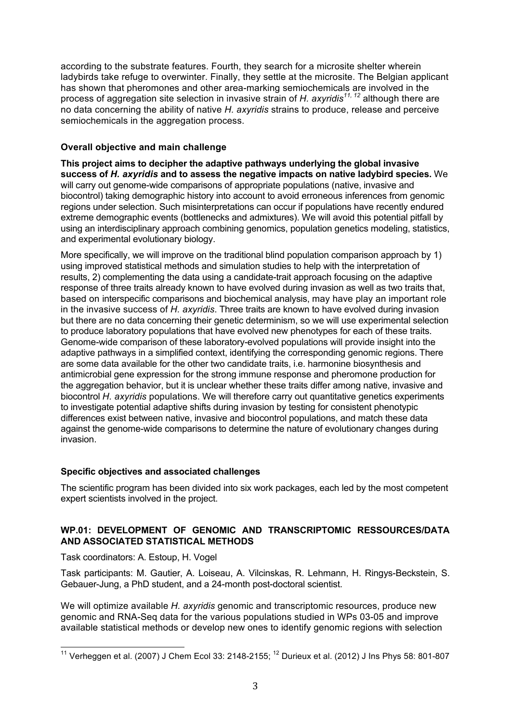according to the substrate features. Fourth, they search for a microsite shelter wherein ladybirds take refuge to overwinter. Finally, they settle at the microsite. The Belgian applicant has shown that pheromones and other area-marking semiochemicals are involved in the process of aggregation site selection in invasive strain of *H. axyridis11, 12* although there are no data concerning the ability of native *H. axyridis* strains to produce, release and perceive semiochemicals in the aggregation process.

## **Overall objective and main challenge**

**This project aims to decipher the adaptive pathways underlying the global invasive success of** *H. axyridis* **and to assess the negative impacts on native ladybird species.** We will carry out genome-wide comparisons of appropriate populations (native, invasive and biocontrol) taking demographic history into account to avoid erroneous inferences from genomic regions under selection. Such misinterpretations can occur if populations have recently endured extreme demographic events (bottlenecks and admixtures). We will avoid this potential pitfall by using an interdisciplinary approach combining genomics, population genetics modeling, statistics, and experimental evolutionary biology.

More specifically, we will improve on the traditional blind population comparison approach by 1) using improved statistical methods and simulation studies to help with the interpretation of results, 2) complementing the data using a candidate-trait approach focusing on the adaptive response of three traits already known to have evolved during invasion as well as two traits that, based on interspecific comparisons and biochemical analysis, may have play an important role in the invasive success of *H. axyridis*. Three traits are known to have evolved during invasion but there are no data concerning their genetic determinism, so we will use experimental selection to produce laboratory populations that have evolved new phenotypes for each of these traits. Genome-wide comparison of these laboratory-evolved populations will provide insight into the adaptive pathways in a simplified context, identifying the corresponding genomic regions. There are some data available for the other two candidate traits, i.e. harmonine biosynthesis and antimicrobial gene expression for the strong immune response and pheromone production for the aggregation behavior, but it is unclear whether these traits differ among native, invasive and biocontrol *H. axyridis* populations. We will therefore carry out quantitative genetics experiments to investigate potential adaptive shifts during invasion by testing for consistent phenotypic differences exist between native, invasive and biocontrol populations, and match these data against the genome-wide comparisons to determine the nature of evolutionary changes during invasion.

## **Specific objectives and associated challenges**

The scientific program has been divided into six work packages, each led by the most competent expert scientists involved in the project.

## **WP.01: DEVELOPMENT OF GENOMIC AND TRANSCRIPTOMIC RESSOURCES/DATA AND ASSOCIATED STATISTICAL METHODS**

Task coordinators: A. Estoup, H. Vogel

Task participants: M. Gautier, A. Loiseau, A. Vilcinskas, R. Lehmann, H. Ringys-Beckstein, S. Gebauer-Jung, a PhD student, and a 24-month post-doctoral scientist.

We will optimize available *H. axyridis* genomic and transcriptomic resources, produce new genomic and RNA-Seq data for the various populations studied in WPs 03-05 and improve available statistical methods or develop new ones to identify genomic regions with selection

<sup>&</sup>lt;sup>11</sup> Verheggen et al. (2007) J Chem Ecol 33: 2148-2155; <sup>12</sup> Durieux et al. (2012) J Ins Phys 58: 801-807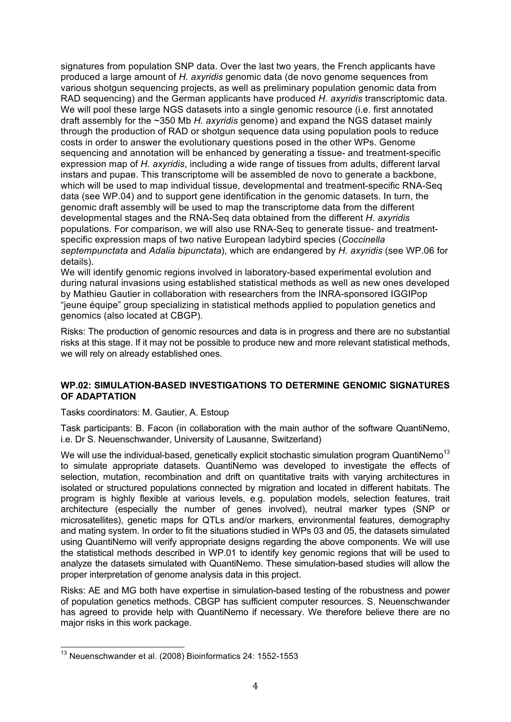signatures from population SNP data. Over the last two years, the French applicants have produced a large amount of *H. axyridis* genomic data (de novo genome sequences from various shotgun sequencing projects, as well as preliminary population genomic data from RAD sequencing) and the German applicants have produced *H. axyridis* transcriptomic data. We will pool these large NGS datasets into a single genomic resource (i.e. first annotated draft assembly for the ~350 Mb *H. axyridis* genome) and expand the NGS dataset mainly through the production of RAD or shotgun sequence data using population pools to reduce costs in order to answer the evolutionary questions posed in the other WPs. Genome sequencing and annotation will be enhanced by generating a tissue- and treatment-specific expression map of *H. axyridis*, including a wide range of tissues from adults, different larval instars and pupae. This transcriptome will be assembled de novo to generate a backbone, which will be used to map individual tissue, developmental and treatment-specific RNA-Seq data (see WP.04) and to support gene identification in the genomic datasets. In turn, the genomic draft assembly will be used to map the transcriptome data from the different developmental stages and the RNA-Seq data obtained from the different *H. axyridis* populations. For comparison, we will also use RNA-Seq to generate tissue- and treatmentspecific expression maps of two native European ladybird species (*Coccinella septempunctata* and *Adalia bipunctata*), which are endangered by *H. axyridis* (see WP.06 for details).

We will identify genomic regions involved in laboratory-based experimental evolution and during natural invasions using established statistical methods as well as new ones developed by Mathieu Gautier in collaboration with researchers from the INRA-sponsored IGGIPop "jeune équipe" group specializing in statistical methods applied to population genetics and genomics (also located at CBGP).

Risks: The production of genomic resources and data is in progress and there are no substantial risks at this stage. If it may not be possible to produce new and more relevant statistical methods, we will rely on already established ones.

## **WP.02: SIMULATION-BASED INVESTIGATIONS TO DETERMINE GENOMIC SIGNATURES OF ADAPTATION**

Tasks coordinators: M. Gautier, A. Estoup

Task participants: B. Facon (in collaboration with the main author of the software QuantiNemo, i.e. Dr S. Neuenschwander, University of Lausanne, Switzerland)

We will use the individual-based, genetically explicit stochastic simulation program QuantiNemo<sup>13</sup> to simulate appropriate datasets. QuantiNemo was developed to investigate the effects of selection, mutation, recombination and drift on quantitative traits with varying architectures in isolated or structured populations connected by migration and located in different habitats. The program is highly flexible at various levels, e.g. population models, selection features, trait architecture (especially the number of genes involved), neutral marker types (SNP or microsatellites), genetic maps for QTLs and/or markers, environmental features, demography and mating system. In order to fit the situations studied in WPs 03 and 05, the datasets simulated using QuantiNemo will verify appropriate designs regarding the above components. We will use the statistical methods described in WP.01 to identify key genomic regions that will be used to analyze the datasets simulated with QuantiNemo. These simulation-based studies will allow the proper interpretation of genome analysis data in this project.

Risks: AE and MG both have expertise in simulation-based testing of the robustness and power of population genetics methods. CBGP has sufficient computer resources. S. Neuenschwander has agreed to provide help with QuantiNemo if necessary. We therefore believe there are no major risks in this work package.

<sup>&</sup>lt;sup>13</sup> Neuenschwander et al. (2008) Bioinformatics 24: 1552-1553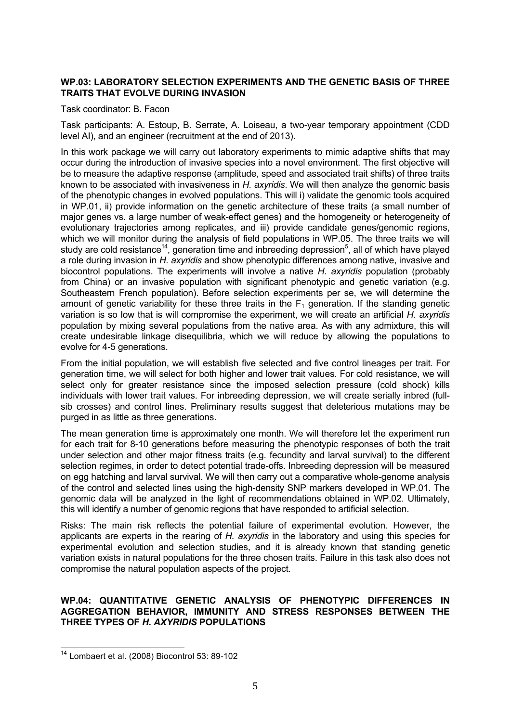## **WP.03: LABORATORY SELECTION EXPERIMENTS AND THE GENETIC BASIS OF THREE TRAITS THAT EVOLVE DURING INVASION**

#### Task coordinator: B. Facon

Task participants: A. Estoup, B. Serrate, A. Loiseau, a two-year temporary appointment (CDD level AI), and an engineer (recruitment at the end of 2013).

In this work package we will carry out laboratory experiments to mimic adaptive shifts that may occur during the introduction of invasive species into a novel environment. The first objective will be to measure the adaptive response (amplitude, speed and associated trait shifts) of three traits known to be associated with invasiveness in *H. axyridis*. We will then analyze the genomic basis of the phenotypic changes in evolved populations. This will i) validate the genomic tools acquired in WP.01, ii) provide information on the genetic architecture of these traits (a small number of major genes vs. a large number of weak-effect genes) and the homogeneity or heterogeneity of evolutionary trajectories among replicates, and iii) provide candidate genes/genomic regions, which we will monitor during the analysis of field populations in WP.05. The three traits we will study are cold resistance<sup>14</sup>, generation time and inbreeding depression<sup>5</sup>, all of which have played a role during invasion in *H. axyridis* and show phenotypic differences among native, invasive and biocontrol populations. The experiments will involve a native *H. axyridis* population (probably from China) or an invasive population with significant phenotypic and genetic variation (e.g. Southeastern French population). Before selection experiments per se, we will determine the amount of genetic variability for these three traits in the  $F_1$  generation. If the standing genetic variation is so low that is will compromise the experiment, we will create an artificial *H. axyridis* population by mixing several populations from the native area. As with any admixture, this will create undesirable linkage disequilibria, which we will reduce by allowing the populations to evolve for 4-5 generations.

From the initial population, we will establish five selected and five control lineages per trait. For generation time, we will select for both higher and lower trait values. For cold resistance, we will select only for greater resistance since the imposed selection pressure (cold shock) kills individuals with lower trait values. For inbreeding depression, we will create serially inbred (fullsib crosses) and control lines. Preliminary results suggest that deleterious mutations may be purged in as little as three generations.

The mean generation time is approximately one month. We will therefore let the experiment run for each trait for 8-10 generations before measuring the phenotypic responses of both the trait under selection and other major fitness traits (e.g. fecundity and larval survival) to the different selection regimes, in order to detect potential trade-offs. Inbreeding depression will be measured on egg hatching and larval survival. We will then carry out a comparative whole-genome analysis of the control and selected lines using the high-density SNP markers developed in WP.01. The genomic data will be analyzed in the light of recommendations obtained in WP.02. Ultimately, this will identify a number of genomic regions that have responded to artificial selection.

Risks: The main risk reflects the potential failure of experimental evolution. However, the applicants are experts in the rearing of *H. axyridis* in the laboratory and using this species for experimental evolution and selection studies, and it is already known that standing genetic variation exists in natural populations for the three chosen traits. Failure in this task also does not compromise the natural population aspects of the project.

### **WP.04: QUANTITATIVE GENETIC ANALYSIS OF PHENOTYPIC DIFFERENCES IN AGGREGATION BEHAVIOR, IMMUNITY AND STRESS RESPONSES BETWEEN THE THREE TYPES OF** *H. AXYRIDIS* **POPULATIONS**

<sup>&</sup>lt;sup>14</sup> Lombaert et al. (2008) Biocontrol 53: 89-102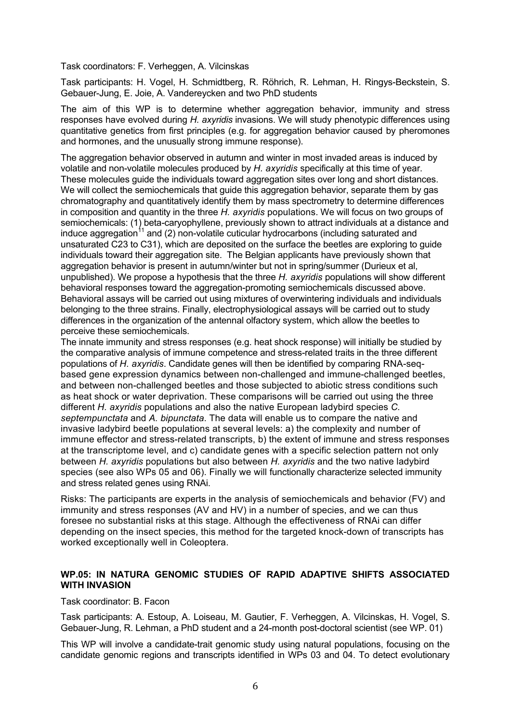Task coordinators: F. Verheggen, A. Vilcinskas

Task participants: H. Vogel, H. Schmidtberg, R. Röhrich, R. Lehman, H. Ringys-Beckstein, S. Gebauer-Jung, E. Joie, A. Vandereycken and two PhD students

The aim of this WP is to determine whether aggregation behavior, immunity and stress responses have evolved during *H. axyridis* invasions. We will study phenotypic differences using quantitative genetics from first principles (e.g. for aggregation behavior caused by pheromones and hormones, and the unusually strong immune response).

The aggregation behavior observed in autumn and winter in most invaded areas is induced by volatile and non-volatile molecules produced by *H. axyridis* specifically at this time of year. These molecules guide the individuals toward aggregation sites over long and short distances. We will collect the semiochemicals that guide this aggregation behavior, separate them by gas chromatography and quantitatively identify them by mass spectrometry to determine differences in composition and quantity in the three *H. axyridis* populations. We will focus on two groups of semiochemicals: (1) beta-caryophyllene, previously shown to attract individuals at a distance and induce aggregation<sup>11</sup> and (2) non-volatile cuticular hydrocarbons (including saturated and unsaturated C23 to C31), which are deposited on the surface the beetles are exploring to guide individuals toward their aggregation site. The Belgian applicants have previously shown that aggregation behavior is present in autumn/winter but not in spring/summer (Durieux et al, unpublished). We propose a hypothesis that the three *H. axyridis* populations will show different behavioral responses toward the aggregation-promoting semiochemicals discussed above. Behavioral assays will be carried out using mixtures of overwintering individuals and individuals belonging to the three strains. Finally, electrophysiological assays will be carried out to study differences in the organization of the antennal olfactory system, which allow the beetles to perceive these semiochemicals.

The innate immunity and stress responses (e.g. heat shock response) will initially be studied by the comparative analysis of immune competence and stress-related traits in the three different populations of *H. axyridis*. Candidate genes will then be identified by comparing RNA-seqbased gene expression dynamics between non-challenged and immune-challenged beetles, and between non-challenged beetles and those subjected to abiotic stress conditions such as heat shock or water deprivation. These comparisons will be carried out using the three different *H. axyridis* populations and also the native European ladybird species *C. septempunctata* and *A. bipunctata*. The data will enable us to compare the native and invasive ladybird beetle populations at several levels: a) the complexity and number of immune effector and stress-related transcripts, b) the extent of immune and stress responses at the transcriptome level, and c) candidate genes with a specific selection pattern not only between *H. axyridis* populations but also between *H. axyridis* and the two native ladybird species (see also WPs 05 and 06). Finally we will functionally characterize selected immunity and stress related genes using RNAi.

Risks: The participants are experts in the analysis of semiochemicals and behavior (FV) and immunity and stress responses (AV and HV) in a number of species, and we can thus foresee no substantial risks at this stage. Although the effectiveness of RNAi can differ depending on the insect species, this method for the targeted knock-down of transcripts has worked exceptionally well in Coleoptera.

## **WP.05: IN NATURA GENOMIC STUDIES OF RAPID ADAPTIVE SHIFTS ASSOCIATED WITH INVASION**

#### Task coordinator: B. Facon

Task participants: A. Estoup, A. Loiseau, M. Gautier, F. Verheggen, A. Vilcinskas, H. Vogel, S. Gebauer-Jung, R. Lehman, a PhD student and a 24-month post-doctoral scientist (see WP. 01)

This WP will involve a candidate-trait genomic study using natural populations, focusing on the candidate genomic regions and transcripts identified in WPs 03 and 04. To detect evolutionary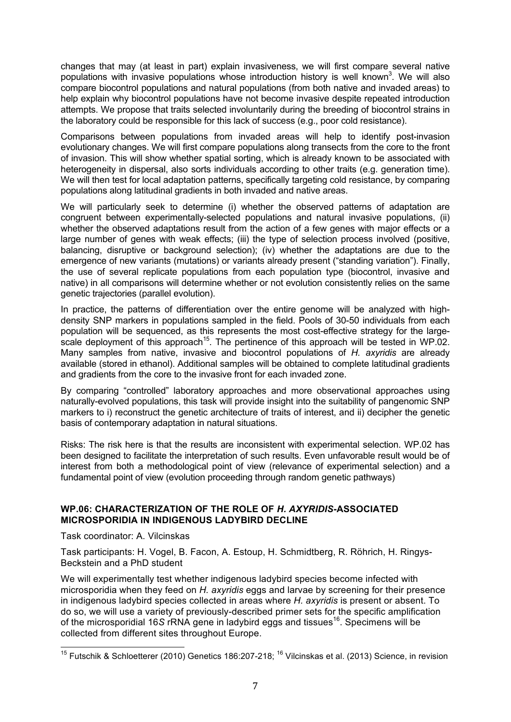changes that may (at least in part) explain invasiveness, we will first compare several native populations with invasive populations whose introduction history is well known<sup>3</sup>. We will also compare biocontrol populations and natural populations (from both native and invaded areas) to help explain why biocontrol populations have not become invasive despite repeated introduction attempts. We propose that traits selected involuntarily during the breeding of biocontrol strains in the laboratory could be responsible for this lack of success (e.g., poor cold resistance).

Comparisons between populations from invaded areas will help to identify post-invasion evolutionary changes. We will first compare populations along transects from the core to the front of invasion. This will show whether spatial sorting, which is already known to be associated with heterogeneity in dispersal, also sorts individuals according to other traits (e.g. generation time). We will then test for local adaptation patterns, specifically targeting cold resistance, by comparing populations along latitudinal gradients in both invaded and native areas.

We will particularly seek to determine (i) whether the observed patterns of adaptation are congruent between experimentally-selected populations and natural invasive populations, (ii) whether the observed adaptations result from the action of a few genes with major effects or a large number of genes with weak effects; (iii) the type of selection process involved (positive, balancing, disruptive or background selection); (iv) whether the adaptations are due to the emergence of new variants (mutations) or variants already present ("standing variation"). Finally, the use of several replicate populations from each population type (biocontrol, invasive and native) in all comparisons will determine whether or not evolution consistently relies on the same genetic trajectories (parallel evolution).

In practice, the patterns of differentiation over the entire genome will be analyzed with highdensity SNP markers in populations sampled in the field. Pools of 30-50 individuals from each population will be sequenced, as this represents the most cost-effective strategy for the largescale deployment of this approach<sup>15</sup>. The pertinence of this approach will be tested in WP.02. Many samples from native, invasive and biocontrol populations of *H. axyridis* are already available (stored in ethanol). Additional samples will be obtained to complete latitudinal gradients and gradients from the core to the invasive front for each invaded zone.

By comparing "controlled" laboratory approaches and more observational approaches using naturally-evolved populations, this task will provide insight into the suitability of pangenomic SNP markers to i) reconstruct the genetic architecture of traits of interest, and ii) decipher the genetic basis of contemporary adaptation in natural situations.

Risks: The risk here is that the results are inconsistent with experimental selection. WP.02 has been designed to facilitate the interpretation of such results. Even unfavorable result would be of interest from both a methodological point of view (relevance of experimental selection) and a fundamental point of view (evolution proceeding through random genetic pathways)

## **WP.06: CHARACTERIZATION OF THE ROLE OF** *H. AXYRIDIS***-ASSOCIATED MICROSPORIDIA IN INDIGENOUS LADYBIRD DECLINE**

Task coordinator: A. Vilcinskas

Task participants: H. Vogel, B. Facon, A. Estoup, H. Schmidtberg, R. Röhrich, H. Ringys-Beckstein and a PhD student

We will experimentally test whether indigenous ladybird species become infected with microsporidia when they feed on *H. axyridis* eggs and larvae by screening for their presence in indigenous ladybird species collected in areas where *H. axyridis* is present or absent. To do so, we will use a variety of previously-described primer sets for the specific amplification of the microsporidial 16*S* rRNA gene in ladybird eggs and tissues<sup>16</sup>. Specimens will be collected from different sites throughout Europe.

<sup>!!!!!!!!!!!!!!!!!!!!!!!!!!!!!!!!!!!!!!!!!!!!!!!!!!!!!!!</sup> <sup>15</sup> Futschik & Schloetterer (2010) Genetics 186:207-218; <sup>16</sup> Vilcinskas et al. (2013) Science, in revision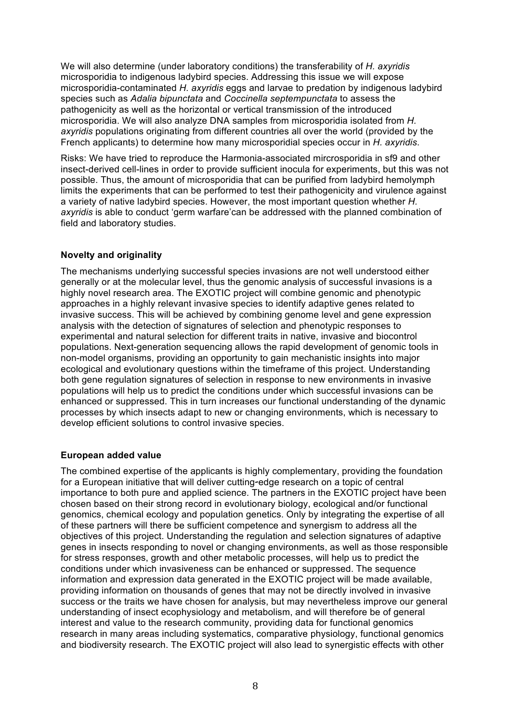We will also determine (under laboratory conditions) the transferability of *H. axyridis* microsporidia to indigenous ladybird species. Addressing this issue we will expose microsporidia-contaminated *H. axyridis* eggs and larvae to predation by indigenous ladybird species such as *Adalia bipunctata* and *Coccinella septempunctata* to assess the pathogenicity as well as the horizontal or vertical transmission of the introduced microsporidia. We will also analyze DNA samples from microsporidia isolated from *H. axyridis* populations originating from different countries all over the world (provided by the French applicants) to determine how many microsporidial species occur in *H. axyridis*.

Risks: We have tried to reproduce the Harmonia-associated mircrosporidia in sf9 and other insect-derived cell-lines in order to provide sufficient inocula for experiments, but this was not possible. Thus, the amount of microsporidia that can be purified from ladybird hemolymph limits the experiments that can be performed to test their pathogenicity and virulence against a variety of native ladybird species. However, the most important question whether *H. axyridis* is able to conduct 'germ warfare'can be addressed with the planned combination of field and laboratory studies.

## **Novelty and originality**

The mechanisms underlying successful species invasions are not well understood either generally or at the molecular level, thus the genomic analysis of successful invasions is a highly novel research area. The EXOTIC project will combine genomic and phenotypic approaches in a highly relevant invasive species to identify adaptive genes related to invasive success. This will be achieved by combining genome level and gene expression analysis with the detection of signatures of selection and phenotypic responses to experimental and natural selection for different traits in native, invasive and biocontrol populations. Next-generation sequencing allows the rapid development of genomic tools in non-model organisms, providing an opportunity to gain mechanistic insights into major ecological and evolutionary questions within the timeframe of this project. Understanding both gene regulation signatures of selection in response to new environments in invasive populations will help us to predict the conditions under which successful invasions can be enhanced or suppressed. This in turn increases our functional understanding of the dynamic processes by which insects adapt to new or changing environments, which is necessary to develop efficient solutions to control invasive species.

## **European added value**

The combined expertise of the applicants is highly complementary, providing the foundation for a European initiative that will deliver cutting-edge research on a topic of central importance to both pure and applied science. The partners in the EXOTIC project have been chosen based on their strong record in evolutionary biology, ecological and/or functional genomics, chemical ecology and population genetics. Only by integrating the expertise of all of these partners will there be sufficient competence and synergism to address all the objectives of this project. Understanding the regulation and selection signatures of adaptive genes in insects responding to novel or changing environments, as well as those responsible for stress responses, growth and other metabolic processes, will help us to predict the conditions under which invasiveness can be enhanced or suppressed. The sequence information and expression data generated in the EXOTIC project will be made available, providing information on thousands of genes that may not be directly involved in invasive success or the traits we have chosen for analysis, but may nevertheless improve our general understanding of insect ecophysiology and metabolism, and will therefore be of general interest and value to the research community, providing data for functional genomics research in many areas including systematics, comparative physiology, functional genomics and biodiversity research. The EXOTIC project will also lead to synergistic effects with other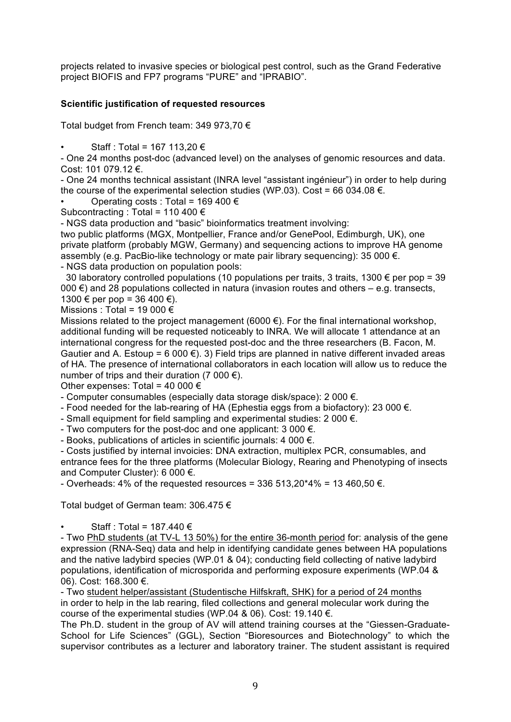projects related to invasive species or biological pest control, such as the Grand Federative project BIOFIS and FP7 programs "PURE" and "IPRABIO".

## **Scientific justification of requested resources**

Total budget from French team: 349 973,70 €

Staff : Total = 167 113.20 €

- One 24 months post-doc (advanced level) on the analyses of genomic resources and data. Cost: 101 079.12 €.

- One 24 months technical assistant (INRA level "assistant ingénieur") in order to help during the course of the experimental selection studies (WP.03). Cost = 66 034.08  $\epsilon$ .

Operating costs : Total = 169 400  $\in$ 

Subcontracting : Total = 110 400 €

- NGS data production and "basic" bioinformatics treatment involving:

two public platforms (MGX, Montpellier, France and/or GenePool, Edimburgh, UK), one private platform (probably MGW, Germany) and sequencing actions to improve HA genome assembly (e.g. PacBio-like technology or mate pair library sequencing): 35 000 €. - NGS data production on population pools:

30 laboratory controlled populations (10 populations per traits, 3 traits, 1300  $\epsilon$  per pop = 39 000 €) and 28 populations collected in natura (invasion routes and others  $-$  e.g. transects,  $1300 \text{ } \in \text{ per pop} = 36,400 \text{ } \in \text{).}$ 

Missions : Total = 19 000  $\epsilon$ 

Missions related to the project management (6000  $\epsilon$ ). For the final international workshop, additional funding will be requested noticeably to INRA. We will allocate 1 attendance at an international congress for the requested post-doc and the three researchers (B. Facon, M. Gautier and A. Estoup = 6 000  $\epsilon$ ). 3) Field trips are planned in native different invaded areas of HA. The presence of international collaborators in each location will allow us to reduce the number of trips and their duration (7 000  $\epsilon$ ).

Other expenses: Total = 40 000  $\epsilon$ 

- Computer consumables (especially data storage disk/space): 2 000  $\epsilon$ .

- Food needed for the lab-rearing of HA (Ephestia eggs from a biofactory): 23 000  $\epsilon$ .

- Small equipment for field sampling and experimental studies:  $2\,000 \in$ .

- Two computers for the post-doc and one applicant:  $3\,000\,\epsilon$ .

- Books, publications of articles in scientific journals:  $4\,000 \leq \pi$ .

- Costs justified by internal invoicies: DNA extraction, multiplex PCR, consumables, and entrance fees for the three platforms (Molecular Biology, Rearing and Phenotyping of insects and Computer Cluster): 6 000 €.

- Overheads: 4% of the requested resources =  $336513.20*4% = 13460.50 \in .$ 

Total budget of German team: 306.475 €

Staff : Total = 187.440  $\in$ 

- Two PhD students (at TV-L 13 50%) for the entire 36-month period for: analysis of the gene expression (RNA-Seq) data and help in identifying candidate genes between HA populations and the native ladybird species (WP.01 & 04); conducting field collecting of native ladybird populations, identification of microsporida and performing exposure experiments (WP.04 & 06). Cost: 168.300 €.

- Two student helper/assistant (Studentische Hilfskraft, SHK) for a period of 24 months in order to help in the lab rearing, filed collections and general molecular work during the course of the experimental studies (WP.04 & 06). Cost: 19.140 €.

The Ph.D. student in the group of AV will attend training courses at the "Giessen-Graduate-School for Life Sciences" (GGL), Section "Bioresources and Biotechnology" to which the supervisor contributes as a lecturer and laboratory trainer. The student assistant is required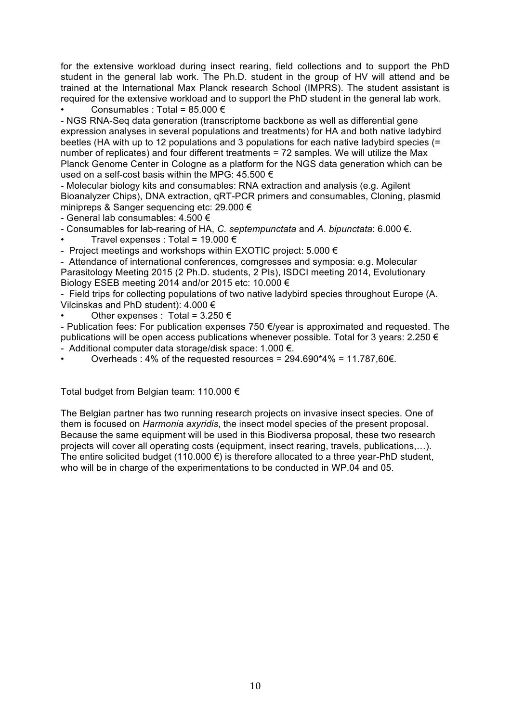for the extensive workload during insect rearing, field collections and to support the PhD student in the general lab work. The Ph.D. student in the group of HV will attend and be trained at the International Max Planck research School (IMPRS). The student assistant is required for the extensive workload and to support the PhD student in the general lab work.

Consumables : Total =  $85.000 \in$ 

- NGS RNA-Seq data generation (transcriptome backbone as well as differential gene expression analyses in several populations and treatments) for HA and both native ladybird beetles (HA with up to 12 populations and 3 populations for each native ladybird species (= number of replicates) and four different treatments = 72 samples. We will utilize the Max Planck Genome Center in Cologne as a platform for the NGS data generation which can be used on a self-cost basis within the MPG: 45.500 €

- Molecular biology kits and consumables: RNA extraction and analysis (e.g. Agilent Bioanalyzer Chips), DNA extraction, qRT-PCR primers and consumables, Cloning, plasmid minipreps & Sanger sequencing etc: 29.000 €

- General lab consumables: 4.500 €

- Consumables for lab-rearing of HA, *C. septempunctata* and *A. bipunctata*: 6.000 €.

Travel expenses : Total = 19.000  $\epsilon$ 

- Project meetings and workshops within EXOTIC project:  $5.000 \in$ 

- Attendance of international conferences, comgresses and symposia: e.g. Molecular Parasitology Meeting 2015 (2 Ph.D. students, 2 PIs), ISDCI meeting 2014, Evolutionary Biology ESEB meeting 2014 and/or 2015 etc: 10.000 €

- Field trips for collecting populations of two native ladybird species throughout Europe (A. Vilcinskas and PhD student): 4.000 €

Other expenses : Total =  $3.250 \in$ 

- Publication fees: For publication expenses 750  $\epsilon$ /year is approximated and requested. The publications will be open access publications whenever possible. Total for 3 years: 2.250  $\epsilon$ - Additional computer data storage/disk space: 1.000 €.

Overheads : 4% of the requested resources =  $294.690*4% = 11.787,60\text{€}.$ 

Total budget from Belgian team: 110.000 €

The Belgian partner has two running research projects on invasive insect species. One of them is focused on *Harmonia axyridis*, the insect model species of the present proposal. Because the same equipment will be used in this Biodiversa proposal, these two research projects will cover all operating costs (equipment, insect rearing, travels, publications,…). The entire solicited budget (110.000  $\epsilon$ ) is therefore allocated to a three year-PhD student, who will be in charge of the experimentations to be conducted in WP.04 and 05.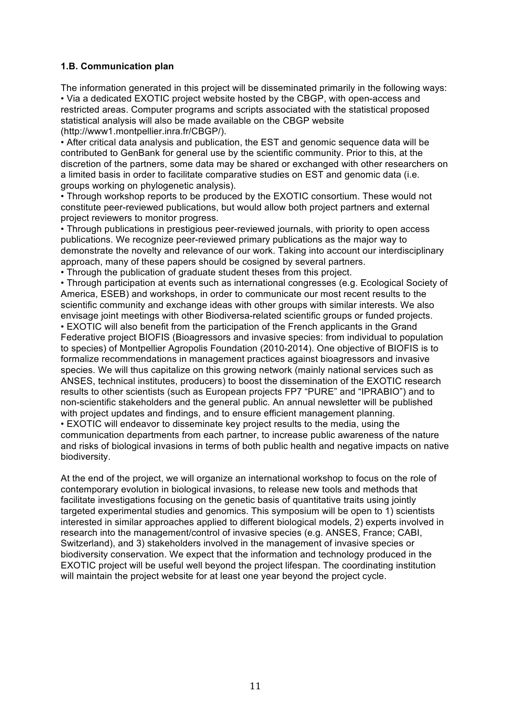## **1.B. Communication plan**

The information generated in this project will be disseminated primarily in the following ways: • Via a dedicated EXOTIC project website hosted by the CBGP, with open-access and restricted areas. Computer programs and scripts associated with the statistical proposed statistical analysis will also be made available on the CBGP website (http://www1.montpellier.inra.fr/CBGP/).

• After critical data analysis and publication, the EST and genomic sequence data will be contributed to GenBank for general use by the scientific community. Prior to this, at the discretion of the partners, some data may be shared or exchanged with other researchers on a limited basis in order to facilitate comparative studies on EST and genomic data (i.e. groups working on phylogenetic analysis).

• Through workshop reports to be produced by the EXOTIC consortium. These would not constitute peer-reviewed publications, but would allow both project partners and external project reviewers to monitor progress.

• Through publications in prestigious peer-reviewed journals, with priority to open access publications. We recognize peer-reviewed primary publications as the major way to demonstrate the novelty and relevance of our work. Taking into account our interdisciplinary approach, many of these papers should be cosigned by several partners.

• Through the publication of graduate student theses from this project.

• Through participation at events such as international congresses (e.g. Ecological Society of America, ESEB) and workshops, in order to communicate our most recent results to the scientific community and exchange ideas with other groups with similar interests. We also envisage joint meetings with other Biodiversa-related scientific groups or funded projects.

• EXOTIC will also benefit from the participation of the French applicants in the Grand Federative project BIOFIS (Bioagressors and invasive species: from individual to population to species) of Montpellier Agropolis Foundation (2010-2014). One objective of BIOFIS is to formalize recommendations in management practices against bioagressors and invasive species. We will thus capitalize on this growing network (mainly national services such as ANSES, technical institutes, producers) to boost the dissemination of the EXOTIC research results to other scientists (such as European projects FP7 "PURE" and "IPRABIO") and to non-scientific stakeholders and the general public. An annual newsletter will be published with project updates and findings, and to ensure efficient management planning.

• EXOTIC will endeavor to disseminate key project results to the media, using the communication departments from each partner, to increase public awareness of the nature and risks of biological invasions in terms of both public health and negative impacts on native biodiversity.

At the end of the project, we will organize an international workshop to focus on the role of contemporary evolution in biological invasions, to release new tools and methods that facilitate investigations focusing on the genetic basis of quantitative traits using jointly targeted experimental studies and genomics. This symposium will be open to 1) scientists interested in similar approaches applied to different biological models, 2) experts involved in research into the management/control of invasive species (e.g. ANSES, France; CABI, Switzerland), and 3) stakeholders involved in the management of invasive species or biodiversity conservation. We expect that the information and technology produced in the EXOTIC project will be useful well beyond the project lifespan. The coordinating institution will maintain the project website for at least one year beyond the project cycle.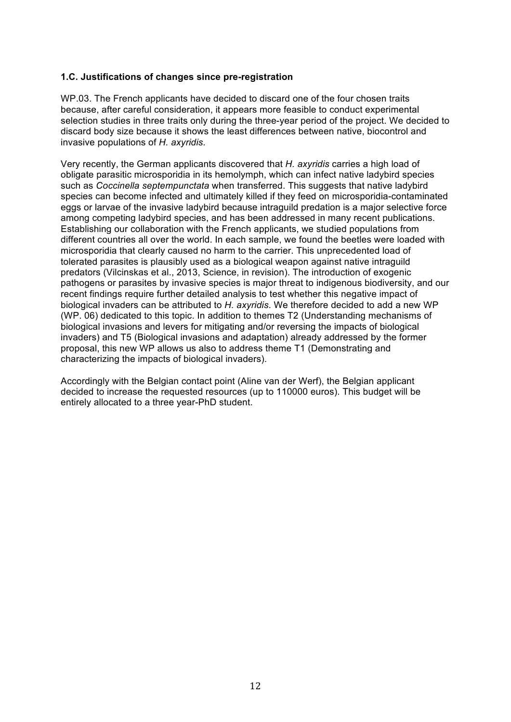## **1.C. Justifications of changes since pre-registration**

WP.03. The French applicants have decided to discard one of the four chosen traits because, after careful consideration, it appears more feasible to conduct experimental selection studies in three traits only during the three-year period of the project. We decided to discard body size because it shows the least differences between native, biocontrol and invasive populations of *H. axyridis*.

Very recently, the German applicants discovered that *H. axyridis* carries a high load of obligate parasitic microsporidia in its hemolymph, which can infect native ladybird species such as *Coccinella septempunctata* when transferred. This suggests that native ladybird species can become infected and ultimately killed if they feed on microsporidia-contaminated eggs or larvae of the invasive ladybird because intraguild predation is a major selective force among competing ladybird species, and has been addressed in many recent publications. Establishing our collaboration with the French applicants, we studied populations from different countries all over the world. In each sample, we found the beetles were loaded with microsporidia that clearly caused no harm to the carrier. This unprecedented load of tolerated parasites is plausibly used as a biological weapon against native intraguild predators (Vilcinskas et al., 2013, Science, in revision). The introduction of exogenic pathogens or parasites by invasive species is major threat to indigenous biodiversity, and our recent findings require further detailed analysis to test whether this negative impact of biological invaders can be attributed to *H. axyridis*. We therefore decided to add a new WP (WP. 06) dedicated to this topic. In addition to themes T2 (Understanding mechanisms of biological invasions and levers for mitigating and/or reversing the impacts of biological invaders) and T5 (Biological invasions and adaptation) already addressed by the former proposal, this new WP allows us also to address theme T1 (Demonstrating and characterizing the impacts of biological invaders).

Accordingly with the Belgian contact point (Aline van der Werf), the Belgian applicant decided to increase the requested resources (up to 110000 euros). This budget will be entirely allocated to a three year-PhD student.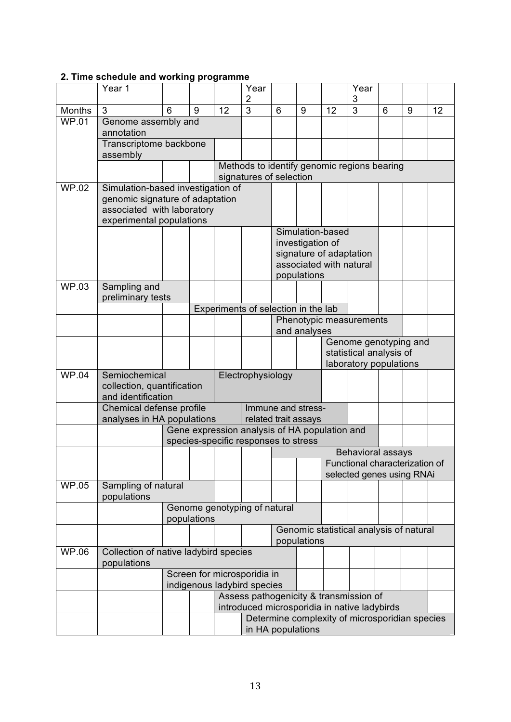| 2. Time schedule and working programme |  |
|----------------------------------------|--|
|----------------------------------------|--|

|               | Year 1                                                       |                                                                                       |                                                                                        |                                                                     | Year<br>2      |                   |                                                  |                  | Year<br>3      |                           |   |    |  |
|---------------|--------------------------------------------------------------|---------------------------------------------------------------------------------------|----------------------------------------------------------------------------------------|---------------------------------------------------------------------|----------------|-------------------|--------------------------------------------------|------------------|----------------|---------------------------|---|----|--|
| <b>Months</b> | 3                                                            | 6                                                                                     | 9                                                                                      | 12                                                                  | $\overline{3}$ | $6\phantom{1}$    | 9                                                | 12               | $\overline{3}$ | 6                         | 9 | 12 |  |
| <b>WP.01</b>  | Genome assembly and                                          |                                                                                       |                                                                                        |                                                                     |                |                   |                                                  |                  |                |                           |   |    |  |
|               | annotation                                                   |                                                                                       |                                                                                        |                                                                     |                |                   |                                                  |                  |                |                           |   |    |  |
|               | Transcriptome backbone                                       |                                                                                       |                                                                                        |                                                                     |                |                   |                                                  |                  |                |                           |   |    |  |
|               | assembly                                                     |                                                                                       |                                                                                        |                                                                     |                |                   |                                                  |                  |                |                           |   |    |  |
|               |                                                              |                                                                                       | Methods to identify genomic regions bearing                                            |                                                                     |                |                   |                                                  |                  |                |                           |   |    |  |
| <b>WP.02</b>  | signatures of selection<br>Simulation-based investigation of |                                                                                       |                                                                                        |                                                                     |                |                   |                                                  |                  |                |                           |   |    |  |
|               | genomic signature of adaptation                              |                                                                                       |                                                                                        |                                                                     |                |                   |                                                  |                  |                |                           |   |    |  |
|               | associated with laboratory                                   |                                                                                       |                                                                                        |                                                                     |                |                   |                                                  |                  |                |                           |   |    |  |
|               | experimental populations                                     |                                                                                       |                                                                                        |                                                                     |                |                   |                                                  |                  |                |                           |   |    |  |
|               |                                                              |                                                                                       |                                                                                        |                                                                     |                |                   |                                                  | Simulation-based |                |                           |   |    |  |
|               |                                                              |                                                                                       |                                                                                        |                                                                     |                |                   | investigation of<br>signature of adaptation      |                  |                |                           |   |    |  |
|               |                                                              |                                                                                       |                                                                                        |                                                                     |                |                   |                                                  |                  |                |                           |   |    |  |
|               |                                                              |                                                                                       |                                                                                        |                                                                     |                |                   | associated with natural<br>populations           |                  |                |                           |   |    |  |
| <b>WP.03</b>  | Sampling and                                                 |                                                                                       |                                                                                        |                                                                     |                |                   |                                                  |                  |                |                           |   |    |  |
|               | preliminary tests                                            |                                                                                       |                                                                                        |                                                                     |                |                   |                                                  |                  |                |                           |   |    |  |
|               | Experiments of selection in the lab                          |                                                                                       |                                                                                        |                                                                     |                |                   |                                                  |                  |                |                           |   |    |  |
|               |                                                              |                                                                                       |                                                                                        |                                                                     |                |                   | Phenotypic measurements                          |                  |                |                           |   |    |  |
|               |                                                              |                                                                                       |                                                                                        |                                                                     |                |                   | and analyses                                     |                  |                |                           |   |    |  |
|               |                                                              |                                                                                       |                                                                                        |                                                                     |                |                   | Genome genotyping and<br>statistical analysis of |                  |                |                           |   |    |  |
|               |                                                              |                                                                                       |                                                                                        |                                                                     |                |                   | laboratory populations                           |                  |                |                           |   |    |  |
| <b>WP.04</b>  | Semiochemical                                                | Electrophysiology                                                                     |                                                                                        |                                                                     |                |                   |                                                  |                  |                |                           |   |    |  |
|               | collection, quantification                                   |                                                                                       |                                                                                        |                                                                     |                |                   |                                                  |                  |                |                           |   |    |  |
|               | and identification                                           | Immune and stress-                                                                    |                                                                                        |                                                                     |                |                   |                                                  |                  |                |                           |   |    |  |
|               |                                                              | Chemical defense profile                                                              |                                                                                        |                                                                     |                |                   |                                                  |                  |                |                           |   |    |  |
|               |                                                              | analyses in HA populations<br>related trait assays                                    |                                                                                        |                                                                     |                |                   |                                                  |                  |                |                           |   |    |  |
|               |                                                              | Gene expression analysis of HA population and<br>species-specific responses to stress |                                                                                        |                                                                     |                |                   |                                                  |                  |                |                           |   |    |  |
|               |                                                              |                                                                                       |                                                                                        |                                                                     |                | Behavioral assays |                                                  |                  |                |                           |   |    |  |
|               |                                                              |                                                                                       |                                                                                        |                                                                     |                |                   | Functional characterization of                   |                  |                |                           |   |    |  |
|               |                                                              |                                                                                       |                                                                                        |                                                                     |                |                   |                                                  |                  |                | selected genes using RNAi |   |    |  |
| <b>WP.05</b>  | Sampling of natural                                          |                                                                                       |                                                                                        |                                                                     |                |                   |                                                  |                  |                |                           |   |    |  |
|               | populations                                                  |                                                                                       |                                                                                        |                                                                     |                |                   |                                                  |                  |                |                           |   |    |  |
|               |                                                              | Genome genotyping of natural<br>populations                                           |                                                                                        |                                                                     |                |                   |                                                  |                  |                |                           |   |    |  |
|               |                                                              |                                                                                       |                                                                                        | Genomic statistical analysis of natural<br>populations              |                |                   |                                                  |                  |                |                           |   |    |  |
|               |                                                              |                                                                                       |                                                                                        |                                                                     |                |                   |                                                  |                  |                |                           |   |    |  |
| WP.06         | populations                                                  | Collection of native ladybird species                                                 |                                                                                        |                                                                     |                |                   |                                                  |                  |                |                           |   |    |  |
|               |                                                              | Screen for microsporidia in                                                           |                                                                                        |                                                                     |                |                   |                                                  |                  |                |                           |   |    |  |
|               |                                                              | indigenous ladybird species                                                           |                                                                                        |                                                                     |                |                   |                                                  |                  |                |                           |   |    |  |
|               |                                                              |                                                                                       | Assess pathogenicity & transmission of<br>introduced microsporidia in native ladybirds |                                                                     |                |                   |                                                  |                  |                |                           |   |    |  |
|               |                                                              |                                                                                       |                                                                                        |                                                                     |                |                   |                                                  |                  |                |                           |   |    |  |
|               |                                                              |                                                                                       |                                                                                        | Determine complexity of microsporidian species<br>in HA populations |                |                   |                                                  |                  |                |                           |   |    |  |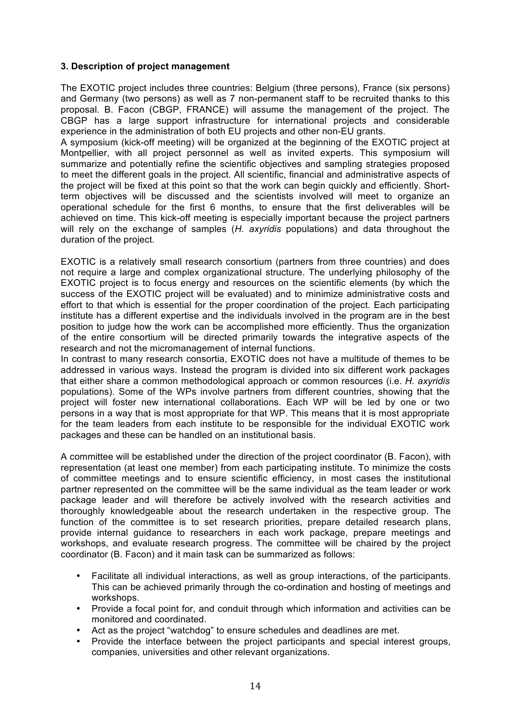## **3. Description of project management**

The EXOTIC project includes three countries: Belgium (three persons), France (six persons) and Germany (two persons) as well as 7 non-permanent staff to be recruited thanks to this proposal. B. Facon (CBGP, FRANCE) will assume the management of the project. The CBGP has a large support infrastructure for international projects and considerable experience in the administration of both EU projects and other non-EU grants.

A symposium (kick-off meeting) will be organized at the beginning of the EXOTIC project at Montpellier, with all project personnel as well as invited experts. This symposium will summarize and potentially refine the scientific objectives and sampling strategies proposed to meet the different goals in the project. All scientific, financial and administrative aspects of the project will be fixed at this point so that the work can begin quickly and efficiently. Shortterm objectives will be discussed and the scientists involved will meet to organize an operational schedule for the first 6 months, to ensure that the first deliverables will be achieved on time. This kick-off meeting is especially important because the project partners will rely on the exchange of samples (*H. axyridis* populations) and data throughout the duration of the project.

EXOTIC is a relatively small research consortium (partners from three countries) and does not require a large and complex organizational structure. The underlying philosophy of the EXOTIC project is to focus energy and resources on the scientific elements (by which the success of the EXOTIC project will be evaluated) and to minimize administrative costs and effort to that which is essential for the proper coordination of the project. Each participating institute has a different expertise and the individuals involved in the program are in the best position to judge how the work can be accomplished more efficiently. Thus the organization of the entire consortium will be directed primarily towards the integrative aspects of the research and not the micromanagement of internal functions.

In contrast to many research consortia, EXOTIC does not have a multitude of themes to be addressed in various ways. Instead the program is divided into six different work packages that either share a common methodological approach or common resources (i.e. *H. axyridis* populations). Some of the WPs involve partners from different countries, showing that the project will foster new international collaborations. Each WP will be led by one or two persons in a way that is most appropriate for that WP. This means that it is most appropriate for the team leaders from each institute to be responsible for the individual EXOTIC work packages and these can be handled on an institutional basis.

A committee will be established under the direction of the project coordinator (B. Facon), with representation (at least one member) from each participating institute. To minimize the costs of committee meetings and to ensure scientific efficiency, in most cases the institutional partner represented on the committee will be the same individual as the team leader or work package leader and will therefore be actively involved with the research activities and thoroughly knowledgeable about the research undertaken in the respective group. The function of the committee is to set research priorities, prepare detailed research plans, provide internal guidance to researchers in each work package, prepare meetings and workshops, and evaluate research progress. The committee will be chaired by the project coordinator (B. Facon) and it main task can be summarized as follows:

- Facilitate all individual interactions, as well as group interactions, of the participants. This can be achieved primarily through the co-ordination and hosting of meetings and workshops.
- Provide a focal point for, and conduit through which information and activities can be monitored and coordinated.
- Act as the project "watchdog" to ensure schedules and deadlines are met.
- Provide the interface between the project participants and special interest groups, companies, universities and other relevant organizations.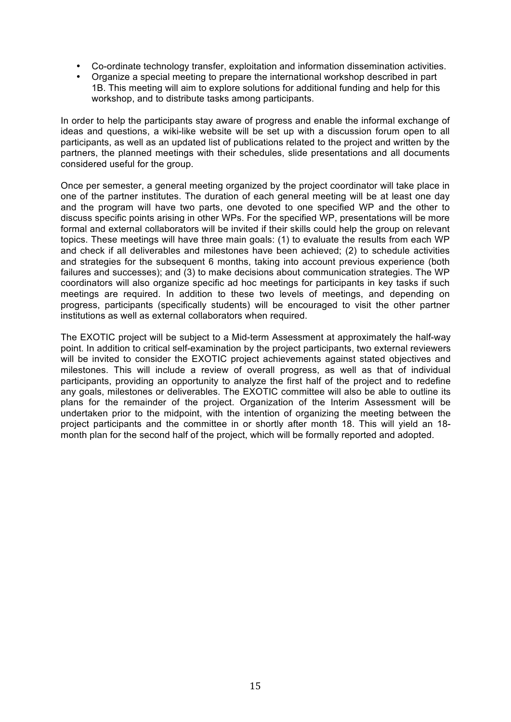- Co-ordinate technology transfer, exploitation and information dissemination activities.
- Organize a special meeting to prepare the international workshop described in part 1B. This meeting will aim to explore solutions for additional funding and help for this workshop, and to distribute tasks among participants.

In order to help the participants stay aware of progress and enable the informal exchange of ideas and questions, a wiki-like website will be set up with a discussion forum open to all participants, as well as an updated list of publications related to the project and written by the partners, the planned meetings with their schedules, slide presentations and all documents considered useful for the group.

Once per semester, a general meeting organized by the project coordinator will take place in one of the partner institutes. The duration of each general meeting will be at least one day and the program will have two parts, one devoted to one specified WP and the other to discuss specific points arising in other WPs. For the specified WP, presentations will be more formal and external collaborators will be invited if their skills could help the group on relevant topics. These meetings will have three main goals: (1) to evaluate the results from each WP and check if all deliverables and milestones have been achieved; (2) to schedule activities and strategies for the subsequent 6 months, taking into account previous experience (both failures and successes); and (3) to make decisions about communication strategies. The WP coordinators will also organize specific ad hoc meetings for participants in key tasks if such meetings are required. In addition to these two levels of meetings, and depending on progress, participants (specifically students) will be encouraged to visit the other partner institutions as well as external collaborators when required.

The EXOTIC project will be subject to a Mid-term Assessment at approximately the half-way point. In addition to critical self-examination by the project participants, two external reviewers will be invited to consider the EXOTIC project achievements against stated objectives and milestones. This will include a review of overall progress, as well as that of individual participants, providing an opportunity to analyze the first half of the project and to redefine any goals, milestones or deliverables. The EXOTIC committee will also be able to outline its plans for the remainder of the project. Organization of the Interim Assessment will be undertaken prior to the midpoint, with the intention of organizing the meeting between the project participants and the committee in or shortly after month 18. This will yield an 18 month plan for the second half of the project, which will be formally reported and adopted.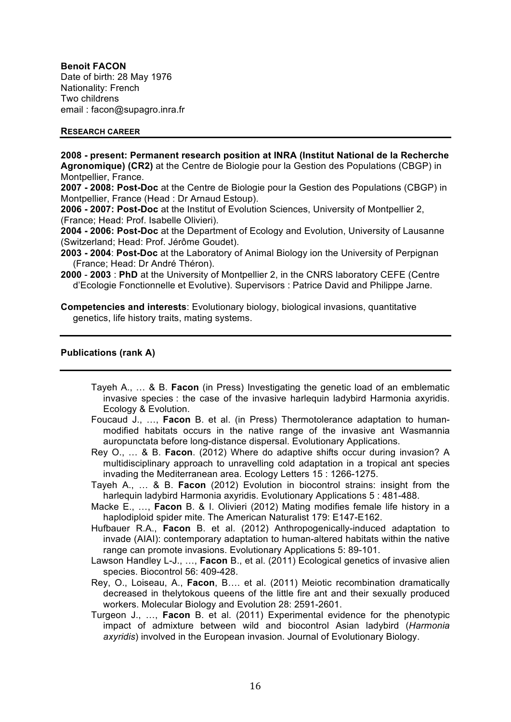**Benoit FACON** Date of birth: 28 May 1976 Nationality: French Two childrens email : facon@supagro.inra.fr

#### **RESEARCH CAREER**

**2008 - present: Permanent research position at INRA (Institut National de la Recherche Agronomique) (CR2)** at the Centre de Biologie pour la Gestion des Populations (CBGP) in Montpellier, France.

**2007 - 2008: Post-Doc** at the Centre de Biologie pour la Gestion des Populations (CBGP) in Montpellier, France (Head : Dr Arnaud Estoup).

**2006 - 2007: Post-Doc** at the Institut of Evolution Sciences, University of Montpellier 2, (France; Head: Prof. Isabelle Olivieri).

**2004 - 2006: Post-Doc** at the Department of Ecology and Evolution, University of Lausanne (Switzerland; Head: Prof. Jérôme Goudet).

**2003 - 2004**: **Post-Doc** at the Laboratory of Animal Biology ion the University of Perpignan (France; Head: Dr André Théron).

**2000** - **2003** : **PhD** at the University of Montpellier 2, in the CNRS laboratory CEFE (Centre d'Ecologie Fonctionnelle et Evolutive). Supervisors : Patrice David and Philippe Jarne.

**Competencies and interests**: Evolutionary biology, biological invasions, quantitative genetics, life history traits, mating systems.

#### **Publications (rank A)**

- Tayeh A., … & B. **Facon** (in Press) Investigating the genetic load of an emblematic invasive species : the case of the invasive harlequin ladybird Harmonia axyridis. Ecology & Evolution.
- Foucaud J., …, **Facon** B. et al. (in Press) Thermotolerance adaptation to humanmodified habitats occurs in the native range of the invasive ant Wasmannia auropunctata before long-distance dispersal. Evolutionary Applications.
- Rey O., … & B. **Facon**. (2012) Where do adaptive shifts occur during invasion? A multidisciplinary approach to unravelling cold adaptation in a tropical ant species invading the Mediterranean area. Ecology Letters 15 : 1266-1275.
- Tayeh A., … & B. **Facon** (2012) Evolution in biocontrol strains: insight from the harlequin ladybird Harmonia axyridis. Evolutionary Applications 5 : 481-488.
- Macke E., …, **Facon** B. & I. Olivieri (2012) Mating modifies female life history in a haplodiploid spider mite. The American Naturalist 179: E147-E162.
- Hufbauer R.A., **Facon** B. et al. (2012) Anthropogenically-induced adaptation to invade (AIAI): contemporary adaptation to human-altered habitats within the native range can promote invasions. Evolutionary Applications 5: 89-101.
- Lawson Handley L-J., …, **Facon** B., et al. (2011) Ecological genetics of invasive alien species. Biocontrol 56: 409-428.
- Rey, O., Loiseau, A., **Facon**, B…. et al. (2011) Meiotic recombination dramatically decreased in thelytokous queens of the little fire ant and their sexually produced workers. Molecular Biology and Evolution 28: 2591-2601.
- Turgeon J., …, **Facon** B. et al. (2011) Experimental evidence for the phenotypic impact of admixture between wild and biocontrol Asian ladybird (*Harmonia axyridis*) involved in the European invasion. Journal of Evolutionary Biology.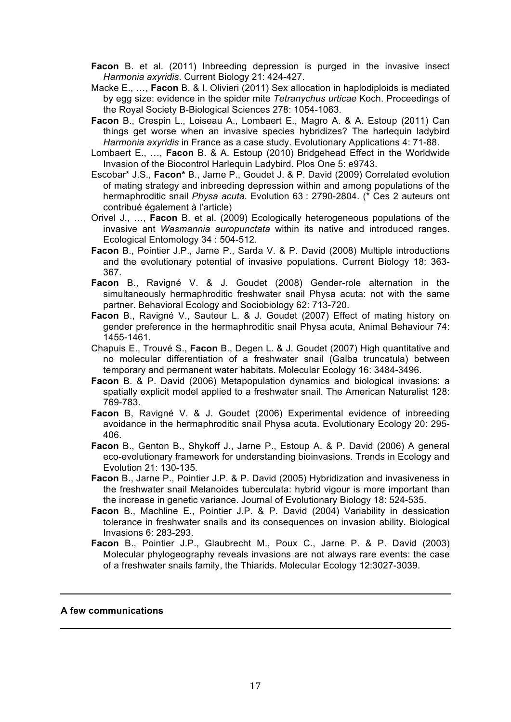**Facon** B. et al. (2011) Inbreeding depression is purged in the invasive insect *Harmonia axyridis*. Current Biology 21: 424-427.

- Macke E., …, **Facon** B. & I. Olivieri (2011) Sex allocation in haplodiploids is mediated by egg size: evidence in the spider mite *Tetranychus urticae* Koch. Proceedings of the Royal Society B-Biological Sciences 278: 1054-1063.
- **Facon** B., Crespin L., Loiseau A., Lombaert E., Magro A. & A. Estoup (2011) Can things get worse when an invasive species hybridizes? The harlequin ladybird *Harmonia axyridis* in France as a case study. Evolutionary Applications 4: 71-88.
- Lombaert E., …, **Facon** B. & A. Estoup (2010) Bridgehead Effect in the Worldwide Invasion of the Biocontrol Harlequin Ladybird. Plos One 5: e9743.
- Escobar\* J.S., **Facon\*** B., Jarne P., Goudet J. & P. David (2009) Correlated evolution of mating strategy and inbreeding depression within and among populations of the hermaphroditic snail *Physa acuta*. Evolution 63 : 2790-2804. (\* Ces 2 auteurs ont contribué également à l'article)
- Orivel J., …, **Facon** B. et al. (2009) Ecologically heterogeneous populations of the invasive ant *Wasmannia auropunctata* within its native and introduced ranges. Ecological Entomology 34 : 504-512.
- **Facon** B., Pointier J.P., Jarne P., Sarda V. & P. David (2008) Multiple introductions and the evolutionary potential of invasive populations. Current Biology 18: 363- 367.
- **Facon** B., Ravigné V. & J. Goudet (2008) Gender-role alternation in the simultaneously hermaphroditic freshwater snail Physa acuta: not with the same partner. Behavioral Ecology and Sociobiology 62: 713-720.
- **Facon** B., Ravigné V., Sauteur L. & J. Goudet (2007) Effect of mating history on gender preference in the hermaphroditic snail Physa acuta, Animal Behaviour 74: 1455-1461.
- Chapuis E., Trouvé S., **Facon** B., Degen L. & J. Goudet (2007) High quantitative and no molecular differentiation of a freshwater snail (Galba truncatula) between temporary and permanent water habitats. Molecular Ecology 16: 3484-3496.
- **Facon** B. & P. David (2006) Metapopulation dynamics and biological invasions: a spatially explicit model applied to a freshwater snail. The American Naturalist 128: 769-783.
- **Facon** B, Ravigné V. & J. Goudet (2006) Experimental evidence of inbreeding avoidance in the hermaphroditic snail Physa acuta. Evolutionary Ecology 20: 295- 406.
- **Facon** B., Genton B., Shykoff J., Jarne P., Estoup A. & P. David (2006) A general eco-evolutionary framework for understanding bioinvasions. Trends in Ecology and Evolution 21: 130-135.
- **Facon** B., Jarne P., Pointier J.P. & P. David (2005) Hybridization and invasiveness in the freshwater snail Melanoides tuberculata: hybrid vigour is more important than the increase in genetic variance. Journal of Evolutionary Biology 18: 524-535.
- **Facon** B., Machline E., Pointier J.P. & P. David (2004) Variability in dessication tolerance in freshwater snails and its consequences on invasion ability. Biological Invasions 6: 283-293.
- **Facon** B., Pointier J.P., Glaubrecht M., Poux C., Jarne P. & P. David (2003) Molecular phylogeography reveals invasions are not always rare events: the case of a freshwater snails family, the Thiarids. Molecular Ecology 12:3027-3039.

#### **A few communications**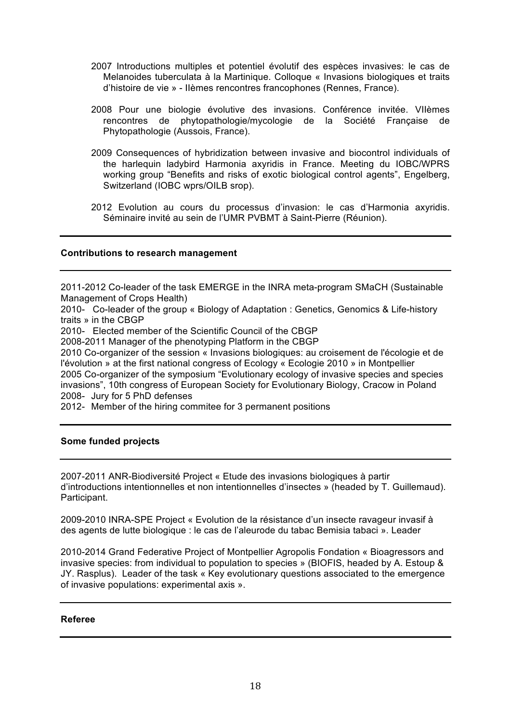- 2007 Introductions multiples et potentiel évolutif des espèces invasives: le cas de Melanoides tuberculata à la Martinique. Colloque « Invasions biologiques et traits d'histoire de vie » - IIèmes rencontres francophones (Rennes, France).
- 2008 Pour une biologie évolutive des invasions. Conférence invitée. VIIèmes rencontres de phytopathologie/mycologie de la Société Française de Phytopathologie (Aussois, France).
- 2009 Consequences of hybridization between invasive and biocontrol individuals of the harlequin ladybird Harmonia axyridis in France. Meeting du IOBC/WPRS working group "Benefits and risks of exotic biological control agents", Engelberg, Switzerland (IOBC wprs/OILB srop).
- 2012 Evolution au cours du processus d'invasion: le cas d'Harmonia axyridis. Séminaire invité au sein de l'UMR PVBMT à Saint-Pierre (Réunion).

#### **Contributions to research management**

2011-2012 Co-leader of the task EMERGE in the INRA meta-program SMaCH (Sustainable Management of Crops Health)

2010- Co-leader of the group « Biology of Adaptation : Genetics, Genomics & Life-history traits » in the CBGP

2010- Elected member of the Scientific Council of the CBGP

2008-2011 Manager of the phenotyping Platform in the CBGP

2010 Co-organizer of the session « Invasions biologiques: au croisement de l'écologie et de l'évolution » at the first national congress of Ecology « Ecologie 2010 » in Montpellier 2005 Co-organizer of the symposium "Evolutionary ecology of invasive species and species invasions", 10th congress of European Society for Evolutionary Biology, Cracow in Poland 2008- Jury for 5 PhD defenses

2012- Member of the hiring commitee for 3 permanent positions

#### **Some funded projects**

2007-2011 ANR-Biodiversité Project « Etude des invasions biologiques à partir d'introductions intentionnelles et non intentionnelles d'insectes » (headed by T. Guillemaud). Participant.

2009-2010 INRA-SPE Project « Evolution de la résistance d'un insecte ravageur invasif à des agents de lutte biologique : le cas de l'aleurode du tabac Bemisia tabaci ». Leader

2010-2014 Grand Federative Project of Montpellier Agropolis Fondation « Bioagressors and invasive species: from individual to population to species » (BIOFIS, headed by A. Estoup & JY. Rasplus). Leader of the task « Key evolutionary questions associated to the emergence of invasive populations: experimental axis ».

#### **Referee**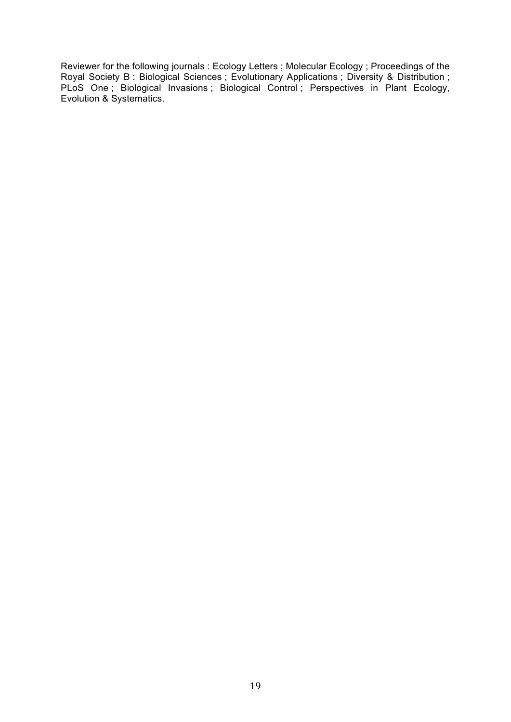Reviewer for the following journals : Ecology Letters ; Molecular Ecology ; Proceedings of the Royal Society B : Biological Sciences ; Evolutionary Applications ; Diversity & Distribution ; PLoS One ; Biological Invasions ; Biological Control ; Perspectives in Plant Ecology, Evolution & Systematics.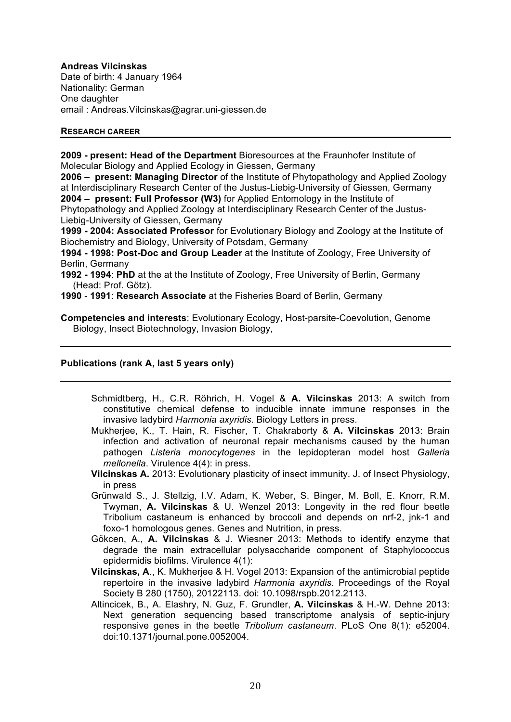#### **Andreas Vilcinskas**

Date of birth: 4 January 1964 Nationality: German One daughter email : Andreas.Vilcinskas@agrar.uni-giessen.de

#### **RESEARCH CAREER**

**2009 - present: Head of the Department** Bioresources at the Fraunhofer Institute of Molecular Biology and Applied Ecology in Giessen, Germany

**2006 – present: Managing Director** of the Institute of Phytopathology and Applied Zoology at Interdisciplinary Research Center of the Justus-Liebig-University of Giessen, Germany **2004 – present: Full Professor (W3)** for Applied Entomology in the Institute of Phytopathology and Applied Zoology at Interdisciplinary Research Center of the Justus-

Liebig-University of Giessen, Germany

**1999 - 2004: Associated Professor** for Evolutionary Biology and Zoology at the Institute of Biochemistry and Biology, University of Potsdam, Germany

**1994 - 1998: Post-Doc and Group Leader** at the Institute of Zoology, Free University of Berlin, Germany

**1992 - 1994**: **PhD** at the at the Institute of Zoology, Free University of Berlin, Germany (Head: Prof. Götz).

**1990** - **1991**: **Research Associate** at the Fisheries Board of Berlin, Germany

**Competencies and interests**: Evolutionary Ecology, Host-parsite-Coevolution, Genome Biology, Insect Biotechnology, Invasion Biology,

## **Publications (rank A, last 5 years only)**

- Schmidtberg, H., C.R. Röhrich, H. Vogel & **A. Vilcinskas** 2013: A switch from constitutive chemical defense to inducible innate immune responses in the invasive ladybird *Harmonia axyridis*. Biology Letters in press.
- Mukherjee, K., T. Hain, R. Fischer, T. Chakraborty & **A. Vilcinskas** 2013: Brain infection and activation of neuronal repair mechanisms caused by the human pathogen *Listeria monocytogenes* in the lepidopteran model host *Galleria mellonella*. Virulence 4(4): in press.
- **Vilcinskas A.** 2013: Evolutionary plasticity of insect immunity. J. of Insect Physiology, in press
- Grünwald S., J. Stellzig, I.V. Adam, K. Weber, S. Binger, M. Boll, E. Knorr, R.M. Twyman, **A. Vilcinskas** & U. Wenzel 2013: Longevity in the red flour beetle Tribolium castaneum is enhanced by broccoli and depends on nrf-2, jnk-1 and foxo-1 homologous genes. Genes and Nutrition, in press.
- Gökcen, A., **A. Vilcinskas** & J. Wiesner 2013: Methods to identify enzyme that degrade the main extracellular polysaccharide component of Staphylococcus epidermidis biofilms. Virulence 4(1):
- **Vilcinskas, A**., K. Mukherjee & H. Vogel 2013: Expansion of the antimicrobial peptide repertoire in the invasive ladybird *Harmonia axyridis*. Proceedings of the Royal Society B 280 (1750), 20122113. doi: 10.1098/rspb.2012.2113.
- Altincicek, B., A. Elashry, N. Guz, F. Grundler, **A. Vilcinskas** & H.-W. Dehne 2013: Next generation sequencing based transcriptome analysis of septic-injury responsive genes in the beetle *Tribolium castaneum*. PLoS One 8(1): e52004. doi:10.1371/journal.pone.0052004.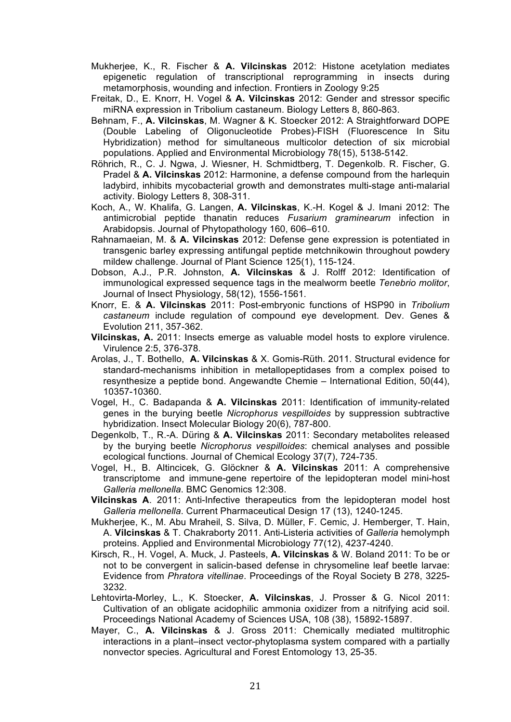Mukherjee, K., R. Fischer & **A. Vilcinskas** 2012: Histone acetylation mediates epigenetic regulation of transcriptional reprogramming in insects during metamorphosis, wounding and infection. Frontiers in Zoology 9:25

- Freitak, D., E. Knorr, H. Vogel & **A. Vilcinskas** 2012: Gender and stressor specific miRNA expression in Tribolium castaneum. Biology Letters 8, 860-863.
- Behnam, F., **A. Vilcinskas**, M. Wagner & K. Stoecker 2012: A Straightforward DOPE (Double Labeling of Oligonucleotide Probes)-FISH (Fluorescence In Situ Hybridization) method for simultaneous multicolor detection of six microbial populations. Applied and Environmental Microbiology 78(15), 5138-5142.
- Röhrich, R., C. J. Ngwa, J. Wiesner, H. Schmidtberg, T. Degenkolb. R. Fischer, G. Pradel & **A. Vilcinskas** 2012: Harmonine, a defense compound from the harlequin ladybird, inhibits mycobacterial growth and demonstrates multi-stage anti-malarial activity. Biology Letters 8, 308-311.
- Koch, A., W. Khalifa, G. Langen, **A. Vilcinskas**, K.-H. Kogel & J. Imani 2012: The antimicrobial peptide thanatin reduces *Fusarium graminearum* infection in Arabidopsis. Journal of Phytopathology 160, 606–610.
- Rahnamaeian, M. & **A. Vilcinskas** 2012: Defense gene expression is potentiated in transgenic barley expressing antifungal peptide metchnikowin throughout powdery mildew challenge. Journal of Plant Science 125(1), 115-124.
- Dobson, A.J., P.R. Johnston, **A. Vilcinskas** & J. Rolff 2012: Identification of immunological expressed sequence tags in the mealworm beetle *Tenebrio molitor*, Journal of Insect Physiology, 58(12), 1556-1561.
- Knorr, E. & **A. Vilcinskas** 2011: Post-embryonic functions of HSP90 in *Tribolium castaneum* include regulation of compound eye development. Dev. Genes & Evolution 211, 357-362.
- **Vilcinskas, A.** 2011: Insects emerge as valuable model hosts to explore virulence. Virulence 2:5, 376-378.
- Arolas, J., T. Bothello, **A. Vilcinskas** & X. Gomis-Rüth. 2011. Structural evidence for standard-mechanisms inhibition in metallopeptidases from a complex poised to resynthesize a peptide bond. Angewandte Chemie – International Edition, 50(44), 10357-10360.
- Vogel, H., C. Badapanda & **A. Vilcinskas** 2011: Identification of immunity-related genes in the burying beetle *Nicrophorus vespilloides* by suppression subtractive hybridization. Insect Molecular Biology 20(6), 787-800.
- Degenkolb, T., R.-A. Düring & **A. Vilcinskas** 2011: Secondary metabolites released by the burying beetle *Nicrophorus vespilloides*: chemical analyses and possible ecological functions. Journal of Chemical Ecology 37(7), 724-735.
- Vogel, H., B. Altincicek, G. Glöckner & **A. Vilcinskas** 2011: A comprehensive transcriptome and immune-gene repertoire of the lepidopteran model mini-host *Galleria mellonella*. BMC Genomics 12:308.
- **Vilcinskas A**. 2011: Anti-Infective therapeutics from the lepidopteran model host *Galleria mellonella*. Current Pharmaceutical Design 17 (13), 1240-1245.
- Mukherjee, K., M. Abu Mraheil, S. Silva, D. Müller, F. Cemic, J. Hemberger, T. Hain, A. **Vilcinskas** & T. Chakraborty 2011. Anti-Listeria activities of *Galleria* hemolymph proteins. Applied and Environmental Microbiology 77(12), 4237-4240.
- Kirsch, R., H. Vogel, A. Muck, J. Pasteels, **A. Vilcinskas** & W. Boland 2011: To be or not to be convergent in salicin-based defense in chrysomeline leaf beetle larvae: Evidence from *Phratora vitellinae*. Proceedings of the Royal Society B 278, 3225- 3232.
- Lehtovirta-Morley, L., K. Stoecker, **A. Vilcinskas**, J. Prosser & G. Nicol 2011: Cultivation of an obligate acidophilic ammonia oxidizer from a nitrifying acid soil. Proceedings National Academy of Sciences USA, 108 (38), 15892-15897.
- Mayer, C., **A. Vilcinskas** & J. Gross 2011: Chemically mediated multitrophic interactions in a plant–insect vector-phytoplasma system compared with a partially nonvector species. Agricultural and Forest Entomology 13, 25-35.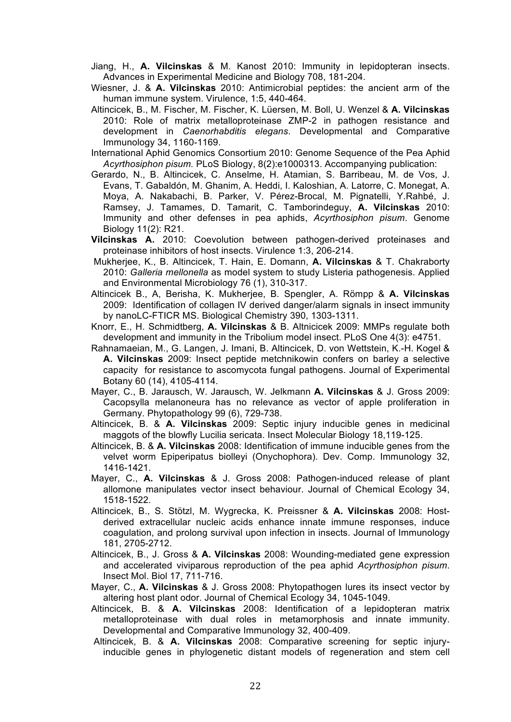- Jiang, H., **A. Vilcinskas** & M. Kanost 2010: Immunity in lepidopteran insects. Advances in Experimental Medicine and Biology 708, 181-204.
- Wiesner, J. & **A. Vilcinskas** 2010: Antimicrobial peptides: the ancient arm of the human immune system. Virulence, 1:5, 440-464.
- Altincicek, B., M. Fischer, M. Fischer, K. Lüersen, M. Boll, U. Wenzel & **A. Vilcinskas** 2010: Role of matrix metalloproteinase ZMP-2 in pathogen resistance and development in *Caenorhabditis elegans*. Developmental and Comparative Immunology 34, 1160-1169.
- International Aphid Genomics Consortium 2010: Genome Sequence of the Pea Aphid *Acyrthosiphon pisum.* PLoS Biology, 8(2):e1000313. Accompanying publication:
- Gerardo, N., B. Altincicek, C. Anselme, H. Atamian, S. Barribeau, M. de Vos, J. Evans, T. Gabaldón, M. Ghanim, A. Heddi, I. Kaloshian, A. Latorre, C. Monegat, A. Moya, A. Nakabachi, B. Parker, V. Pérez-Brocal, M. Pignatelli, Y.Rahbé, J. Ramsey, J. Tamames, D. Tamarit, C. Tamborindeguy, **A. Vilcinskas** 2010: Immunity and other defenses in pea aphids, *Acyrthosiphon pisum*. Genome Biology 11(2): R21.
- **Vilcinskas A.** 2010: Coevolution between pathogen-derived proteinases and proteinase inhibitors of host insects. Virulence 1:3, 206-214.
- Mukherjee, K., B. Altincicek, T. Hain, E. Domann, **A. Vilcinskas** & T. Chakraborty 2010: *Galleria mellonella* as model system to study Listeria pathogenesis. Applied and Environmental Microbiology 76 (1), 310-317.
- Altincicek B., A, Berisha, K. Mukherjee, B. Spengler, A. Römpp & **A. Vilcinskas** 2009: Identification of collagen IV derived danger/alarm signals in insect immunity by nanoLC-FTICR MS. Biological Chemistry 390, 1303-1311.
- Knorr, E., H. Schmidtberg, **A. Vilcinskas** & B. Altnicicek 2009: MMPs regulate both development and immunity in the Tribolium model insect. PLoS One 4(3): e4751.
- Rahnamaeian, M., G. Langen, J. Imani, B. Altincicek, D. von Wettstein, K.-H. Kogel & **A. Vilcinskas** 2009: Insect peptide metchnikowin confers on barley a selective capacity for resistance to ascomycota fungal pathogens. Journal of Experimental Botany 60 (14), 4105-4114.
- Mayer, C., B. Jarausch, W. Jarausch, W. Jelkmann **A. Vilcinskas** & J. Gross 2009: Cacopsylla melanoneura has no relevance as vector of apple proliferation in Germany. Phytopathology 99 (6), 729-738.
- Altincicek, B. & **A. Vilcinskas** 2009: Septic injury inducible genes in medicinal maggots of the blowfly Lucilia sericata. Insect Molecular Biology 18,119-125.
- Altincicek, B. & **A. Vilcinskas** 2008: Identification of immune inducible genes from the velvet worm Epiperipatus biolleyi (Onychophora). Dev. Comp. Immunology 32, 1416-1421.
- Mayer, C., **A. Vilcinskas** & J. Gross 2008: Pathogen-induced release of plant allomone manipulates vector insect behaviour. Journal of Chemical Ecology 34, 1518-1522.
- Altincicek, B., S. Stötzl, M. Wygrecka, K. Preissner & **A. Vilcinskas** 2008: Hostderived extracellular nucleic acids enhance innate immune responses, induce coagulation, and prolong survival upon infection in insects. Journal of Immunology 181, 2705-2712.
- Altincicek, B., J. Gross & **A. Vilcinskas** 2008: Wounding-mediated gene expression and accelerated viviparous reproduction of the pea aphid *Acyrthosiphon pisum*. Insect Mol. Biol 17, 711-716.
- Mayer, C., **A. Vilcinskas** & J. Gross 2008: Phytopathogen lures its insect vector by altering host plant odor. Journal of Chemical Ecology 34, 1045-1049.
- Altincicek, B. & **A. Vilcinskas** 2008: Identification of a lepidopteran matrix metalloproteinase with dual roles in metamorphosis and innate immunity. Developmental and Comparative Immunology 32, 400-409.
- Altincicek, B. & **A. Vilcinskas** 2008: Comparative screening for septic injuryinducible genes in phylogenetic distant models of regeneration and stem cell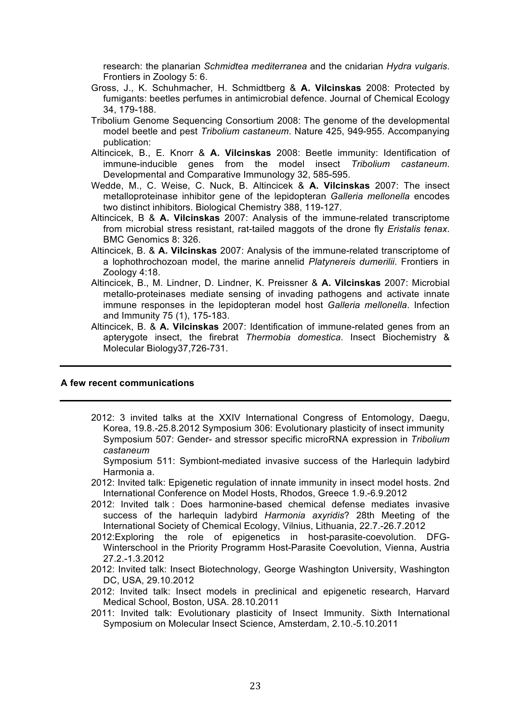research: the planarian *Schmidtea mediterranea* and the cnidarian *Hydra vulgaris*. Frontiers in Zoology 5: 6.

- Gross, J., K. Schuhmacher, H. Schmidtberg & **A. Vilcinskas** 2008: Protected by fumigants: beetles perfumes in antimicrobial defence. Journal of Chemical Ecology 34, 179-188.
- Tribolium Genome Sequencing Consortium 2008: The genome of the developmental model beetle and pest *Tribolium castaneum*. Nature 425, 949-955. Accompanying publication:
- Altincicek, B., E. Knorr & **A. Vilcinskas** 2008: Beetle immunity: Identification of immune-inducible genes from the model insect *Tribolium castaneum*. Developmental and Comparative Immunology 32, 585-595.
- Wedde, M., C. Weise, C. Nuck, B. Altincicek & **A. Vilcinskas** 2007: The insect metalloproteinase inhibitor gene of the lepidopteran *Galleria mellonella* encodes two distinct inhibitors. Biological Chemistry 388, 119-127.
- Altincicek, B & **A. Vilcinskas** 2007: Analysis of the immune-related transcriptome from microbial stress resistant, rat-tailed maggots of the drone fly *Eristalis tenax*. BMC Genomics 8: 326.
- Altincicek, B. & **A. Vilcinskas** 2007: Analysis of the immune-related transcriptome of a lophothrochozoan model, the marine annelid *Platynereis dumerilii*. Frontiers in Zoology 4:18.
- Altincicek, B., M. Lindner, D. Lindner, K. Preissner & **A. Vilcinskas** 2007: Microbial metallo-proteinases mediate sensing of invading pathogens and activate innate immune responses in the lepidopteran model host *Galleria mellonella*. Infection and Immunity 75 (1), 175-183.
- Altincicek, B. & **A. Vilcinskas** 2007: Identification of immune-related genes from an apterygote insect, the firebrat *Thermobia domestica*. Insect Biochemistry & Molecular Biology37,726-731.

#### **A few recent communications**

- 2012: 3 invited talks at the XXIV International Congress of Entomology, Daegu, Korea, 19.8.-25.8.2012 Symposium 306: Evolutionary plasticity of insect immunity Symposium 507: Gender- and stressor specific microRNA expression in *Tribolium castaneum*
	- Symposium 511: Symbiont-mediated invasive success of the Harlequin ladybird Harmonia a.
- 2012: Invited talk: Epigenetic regulation of innate immunity in insect model hosts. 2nd International Conference on Model Hosts, Rhodos, Greece 1.9.-6.9.2012
- 2012: Invited talk : Does harmonine-based chemical defense mediates invasive success of the harlequin ladybird *Harmonia axyridis*? 28th Meeting of the International Society of Chemical Ecology, Vilnius, Lithuania, 22.7.-26.7.2012
- 2012:Exploring the role of epigenetics in host-parasite-coevolution. DFG-Winterschool in the Priority Programm Host-Parasite Coevolution, Vienna, Austria 27.2.-1.3.2012
- 2012: Invited talk: Insect Biotechnology, George Washington University, Washington DC, USA, 29.10.2012
- 2012: Invited talk: Insect models in preclinical and epigenetic research, Harvard Medical School, Boston, USA. 28.10.2011
- 2011: Invited talk: Evolutionary plasticity of Insect Immunity. Sixth International Symposium on Molecular Insect Science, Amsterdam, 2.10.-5.10.2011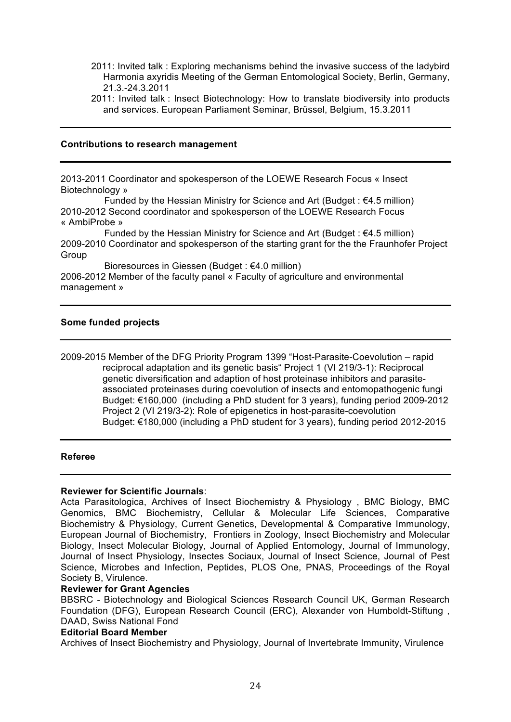- 2011: Invited talk : Exploring mechanisms behind the invasive success of the ladybird Harmonia axyridis Meeting of the German Entomological Society, Berlin, Germany, 21.3.-24.3.2011
- 2011: Invited talk : Insect Biotechnology: How to translate biodiversity into products and services. European Parliament Seminar, Brüssel, Belgium, 15.3.2011

#### **Contributions to research management**

2013-2011 Coordinator and spokesperson of the LOEWE Research Focus « Insect Biotechnology »

Funded by the Hessian Ministry for Science and Art (Budget :  $64.5$  million) 2010-2012 Second coordinator and spokesperson of the LOEWE Research Focus « AmbiProbe »

Funded by the Hessian Ministry for Science and Art (Budget:  $64.5$  million) 2009-2010 Coordinator and spokesperson of the starting grant for the the Fraunhofer Project Group

 Bioresources in Giessen (Budget : €4.0 million) 2006-2012 Member of the faculty panel « Faculty of agriculture and environmental management »

## **Some funded projects**

2009-2015 Member of the DFG Priority Program 1399 "Host-Parasite-Coevolution – rapid reciprocal adaptation and its genetic basis" Project 1 (VI 219/3-1): Reciprocal genetic diversification and adaption of host proteinase inhibitors and parasiteassociated proteinases during coevolution of insects and entomopathogenic fungi Budget: €160,000 (including a PhD student for 3 years), funding period 2009-2012 Project 2 (VI 219/3-2): Role of epigenetics in host-parasite-coevolution Budget: €180,000 (including a PhD student for 3 years), funding period 2012-2015

## **Referee**

## **Reviewer for Scientific Journals**:

Acta Parasitologica, Archives of Insect Biochemistry & Physiology , BMC Biology, BMC Genomics, BMC Biochemistry, Cellular & Molecular Life Sciences, Comparative Biochemistry & Physiology, Current Genetics, Developmental & Comparative Immunology, European Journal of Biochemistry, Frontiers in Zoology, Insect Biochemistry and Molecular Biology, Insect Molecular Biology, Journal of Applied Entomology, Journal of Immunology, Journal of Insect Physiology, Insectes Sociaux, Journal of Insect Science, Journal of Pest Science, Microbes and Infection, Peptides, PLOS One, PNAS, Proceedings of the Royal Society B, Virulence.

## **Reviewer for Grant Agencies**

BBSRC - Biotechnology and Biological Sciences Research Council UK, German Research Foundation (DFG), European Research Council (ERC), Alexander von Humboldt-Stiftung , DAAD, Swiss National Fond

#### **Editorial Board Member**

Archives of Insect Biochemistry and Physiology, Journal of Invertebrate Immunity, Virulence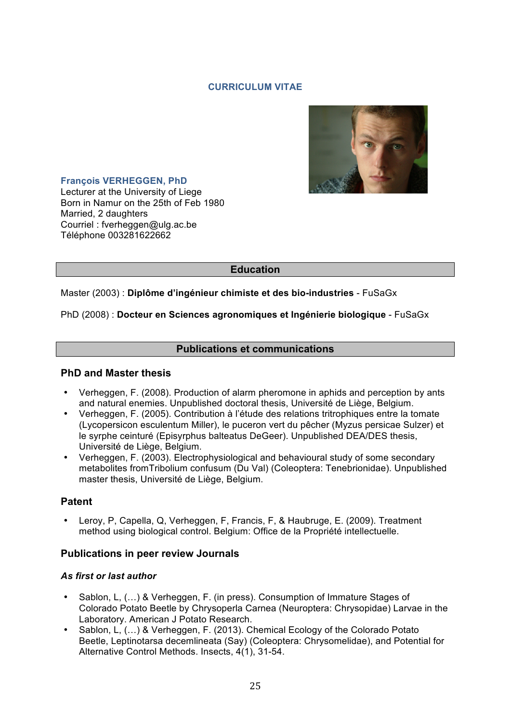## **CURRICULUM VITAE**



## **François VERHEGGEN, PhD**

Lecturer at the University of Liege Born in Namur on the 25th of Feb 1980 Married, 2 daughters Courriel : fverheggen@ulg.ac.be Téléphone 003281622662

# **Education**

## Master (2003) : **Diplôme d'ingénieur chimiste et des bio-industries** - FuSaGx

## PhD (2008) : **Docteur en Sciences agronomiques et Ingénierie biologique** - FuSaGx

## **Publications et communications**

## **PhD and Master thesis**

- Verheggen, F. (2008). Production of alarm pheromone in aphids and perception by ants and natural enemies. Unpublished doctoral thesis, Université de Liège, Belgium.
- Verheggen, F. (2005). Contribution à l'étude des relations tritrophiques entre la tomate (Lycopersicon esculentum Miller), le puceron vert du pêcher (Myzus persicae Sulzer) et le syrphe ceinturé (Episyrphus balteatus DeGeer). Unpublished DEA/DES thesis, Université de Liège, Belgium.
- Verheggen, F. (2003). Electrophysiological and behavioural study of some secondary metabolites fromTribolium confusum (Du Val) (Coleoptera: Tenebrionidae). Unpublished master thesis, Université de Liège, Belgium.

## **Patent**

• Leroy, P, Capella, Q, Verheggen, F, Francis, F, & Haubruge, E. (2009). Treatment method using biological control. Belgium: Office de la Propriété intellectuelle.

## **Publications in peer review Journals**

## *As first or last author*

- Sablon, L, (…) & Verheggen, F. (in press). Consumption of Immature Stages of Colorado Potato Beetle by Chrysoperla Carnea (Neuroptera: Chrysopidae) Larvae in the Laboratory. American J Potato Research.
- Sablon, L, (…) & Verheggen, F. (2013). Chemical Ecology of the Colorado Potato Beetle, Leptinotarsa decemlineata (Say) (Coleoptera: Chrysomelidae), and Potential for Alternative Control Methods. Insects, 4(1), 31-54.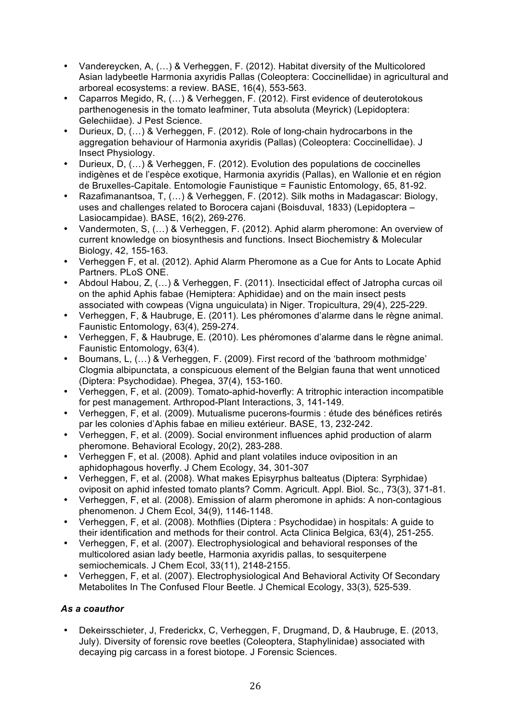- Vandereycken, A, (…) & Verheggen, F. (2012). Habitat diversity of the Multicolored Asian ladybeetle Harmonia axyridis Pallas (Coleoptera: Coccinellidae) in agricultural and arboreal ecosystems: a review. BASE, 16(4), 553-563.
- Caparros Megido, R, (…) & Verheggen, F. (2012). First evidence of deuterotokous parthenogenesis in the tomato leafminer, Tuta absoluta (Meyrick) (Lepidoptera: Gelechiidae). J Pest Science.
- Durieux, D, (…) & Verheggen, F. (2012). Role of long-chain hydrocarbons in the aggregation behaviour of Harmonia axyridis (Pallas) (Coleoptera: Coccinellidae). J Insect Physiology.
- Durieux, D, (…) & Verheggen, F. (2012). Evolution des populations de coccinelles indigènes et de l'espèce exotique, Harmonia axyridis (Pallas), en Wallonie et en région de Bruxelles-Capitale. Entomologie Faunistique = Faunistic Entomology, 65, 81-92.
- Razafimanantsoa, T, (…) & Verheggen, F. (2012). Silk moths in Madagascar: Biology, uses and challenges related to Borocera cajani (Boisduval, 1833) (Lepidoptera – Lasiocampidae). BASE, 16(2), 269-276.
- Vandermoten, S, (…) & Verheggen, F. (2012). Aphid alarm pheromone: An overview of current knowledge on biosynthesis and functions. Insect Biochemistry & Molecular Biology, 42, 155-163.
- Verheggen F, et al. (2012). Aphid Alarm Pheromone as a Cue for Ants to Locate Aphid Partners. PLoS ONE.
- Abdoul Habou, Z, (…) & Verheggen, F. (2011). Insecticidal effect of Jatropha curcas oil on the aphid Aphis fabae (Hemiptera: Aphididae) and on the main insect pests associated with cowpeas (Vigna unguiculata) in Niger. Tropicultura, 29(4), 225-229.
- Verheggen, F, & Haubruge, E. (2011). Les phéromones d'alarme dans le règne animal. Faunistic Entomology, 63(4), 259-274.
- Verheggen, F, & Haubruge, E. (2010). Les phéromones d'alarme dans le règne animal. Faunistic Entomology, 63(4).
- Boumans, L, (…) & Verheggen, F. (2009). First record of the 'bathroom mothmidge' Clogmia albipunctata, a conspicuous element of the Belgian fauna that went unnoticed (Diptera: Psychodidae). Phegea, 37(4), 153-160.
- Verheggen, F, et al. (2009). Tomato-aphid-hoverfly: A tritrophic interaction incompatible for pest management. Arthropod-Plant Interactions, 3, 141-149.
- Verheggen, F, et al. (2009). Mutualisme pucerons-fourmis : étude des bénéfices retirés par les colonies d'Aphis fabae en milieu extérieur. BASE, 13, 232-242.
- Verheggen, F, et al. (2009). Social environment influences aphid production of alarm pheromone. Behavioral Ecology, 20(2), 283-288.
- Verheggen F, et al. (2008). Aphid and plant volatiles induce oviposition in an aphidophagous hoverfly. J Chem Ecology, 34, 301-307
- Verheggen, F, et al. (2008). What makes Episyrphus balteatus (Diptera: Syrphidae) oviposit on aphid infested tomato plants? Comm. Agricult. Appl. Biol. Sc., 73(3), 371-81.
- Verheggen, F, et al. (2008). Emission of alarm pheromone in aphids: A non-contagious phenomenon. J Chem Ecol, 34(9), 1146-1148.
- Verheggen, F, et al. (2008). Mothflies (Diptera : Psychodidae) in hospitals: A guide to their identification and methods for their control. Acta Clinica Belgica, 63(4), 251-255.
- Verheggen, F, et al. (2007). Electrophysiological and behavioral responses of the multicolored asian lady beetle, Harmonia axyridis pallas, to sesquiterpene semiochemicals. J Chem Ecol, 33(11), 2148-2155.
- Verheggen, F, et al. (2007). Electrophysiological And Behavioral Activity Of Secondary Metabolites In The Confused Flour Beetle. J Chemical Ecology, 33(3), 525-539.

# *As a coauthor*

• Dekeirsschieter, J, Frederickx, C, Verheggen, F, Drugmand, D, & Haubruge, E. (2013, July). Diversity of forensic rove beetles (Coleoptera, Staphylinidae) associated with decaying pig carcass in a forest biotope. J Forensic Sciences.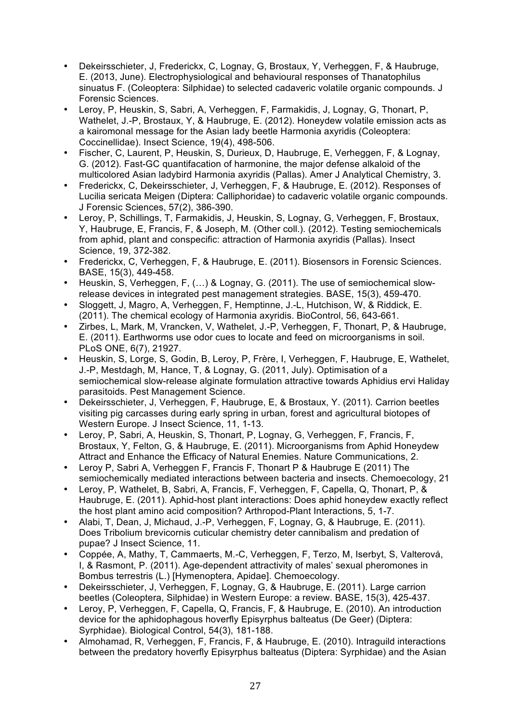- Dekeirsschieter, J, Frederickx, C, Lognay, G, Brostaux, Y, Verheggen, F, & Haubruge, E. (2013, June). Electrophysiological and behavioural responses of Thanatophilus sinuatus F. (Coleoptera: Silphidae) to selected cadaveric volatile organic compounds. J Forensic Sciences.
- Leroy, P, Heuskin, S, Sabri, A, Verheggen, F, Farmakidis, J, Lognay, G, Thonart, P, Wathelet, J.-P, Brostaux, Y, & Haubruge, E. (2012). Honeydew volatile emission acts as a kairomonal message for the Asian lady beetle Harmonia axyridis (Coleoptera: Coccinellidae). Insect Science, 19(4), 498-506.
- Fischer, C, Laurent, P, Heuskin, S, Durieux, D, Haubruge, E, Verheggen, F, & Lognay, G. (2012). Fast-GC quantifacation of harmonine, the major defense alkaloid of the multicolored Asian ladybird Harmonia axyridis (Pallas). Amer J Analytical Chemistry, 3.
- Frederickx, C, Dekeirsschieter, J, Verheggen, F, & Haubruge, E. (2012). Responses of Lucilia sericata Meigen (Diptera: Calliphoridae) to cadaveric volatile organic compounds. J Forensic Sciences, 57(2), 386-390.
- Leroy, P, Schillings, T, Farmakidis, J, Heuskin, S, Lognay, G, Verheggen, F, Brostaux, Y, Haubruge, E, Francis, F, & Joseph, M. (Other coll.). (2012). Testing semiochemicals from aphid, plant and conspecific: attraction of Harmonia axyridis (Pallas). Insect Science, 19, 372-382.
- Frederickx, C, Verheggen, F, & Haubruge, E. (2011). Biosensors in Forensic Sciences. BASE, 15(3), 449-458.
- Heuskin, S, Verheggen, F, (…) & Lognay, G. (2011). The use of semiochemical slowrelease devices in integrated pest management strategies. BASE, 15(3), 459-470.
- Sloggett, J, Magro, A, Verheggen, F, Hemptinne, J.-L, Hutchison, W, & Riddick, E. (2011). The chemical ecology of Harmonia axyridis. BioControl, 56, 643-661.
- Zirbes, L, Mark, M, Vrancken, V, Wathelet, J.-P, Verheggen, F, Thonart, P, & Haubruge, E. (2011). Earthworms use odor cues to locate and feed on microorganisms in soil. PLoS ONE, 6(7), 21927.
- Heuskin, S, Lorge, S, Godin, B, Leroy, P, Frère, I, Verheggen, F, Haubruge, E, Wathelet, J.-P, Mestdagh, M, Hance, T, & Lognay, G. (2011, July). Optimisation of a semiochemical slow-release alginate formulation attractive towards Aphidius ervi Haliday parasitoids. Pest Management Science.
- Dekeirsschieter, J, Verheggen, F, Haubruge, E, & Brostaux, Y. (2011). Carrion beetles visiting pig carcasses during early spring in urban, forest and agricultural biotopes of Western Europe. J Insect Science, 11, 1-13.
- Leroy, P, Sabri, A, Heuskin, S, Thonart, P, Lognay, G, Verheggen, F, Francis, F, Brostaux, Y, Felton, G, & Haubruge, E. (2011). Microorganisms from Aphid Honeydew Attract and Enhance the Efficacy of Natural Enemies. Nature Communications, 2.
- Leroy P, Sabri A, Verheggen F, Francis F, Thonart P & Haubruge E (2011) The semiochemically mediated interactions between bacteria and insects. Chemoecology, 21
- Leroy, P, Wathelet, B, Sabri, A, Francis, F, Verheggen, F, Capella, Q, Thonart, P, & Haubruge, E. (2011). Aphid-host plant interactions: Does aphid honeydew exactly reflect the host plant amino acid composition? Arthropod-Plant Interactions, 5, 1-7.
- Alabi, T, Dean, J, Michaud, J.-P, Verheggen, F, Lognay, G, & Haubruge, E. (2011). Does Tribolium brevicornis cuticular chemistry deter cannibalism and predation of pupae? J Insect Science, 11.
- Coppée, A, Mathy, T, Cammaerts, M.-C, Verheggen, F, Terzo, M, Iserbyt, S, Valterová, I, & Rasmont, P. (2011). Age-dependent attractivity of males' sexual pheromones in Bombus terrestris (L.) [Hymenoptera, Apidae]. Chemoecology.
- Dekeirsschieter, J, Verheggen, F, Lognay, G, & Haubruge, E. (2011). Large carrion beetles (Coleoptera, Silphidae) in Western Europe: a review. BASE, 15(3), 425-437.
- Leroy, P, Verheggen, F, Capella, Q, Francis, F, & Haubruge, E. (2010). An introduction device for the aphidophagous hoverfly Episyrphus balteatus (De Geer) (Diptera: Syrphidae). Biological Control, 54(3), 181-188.
- Almohamad, R, Verheggen, F, Francis, F, & Haubruge, E. (2010). Intraguild interactions between the predatory hoverfly Episyrphus balteatus (Diptera: Syrphidae) and the Asian